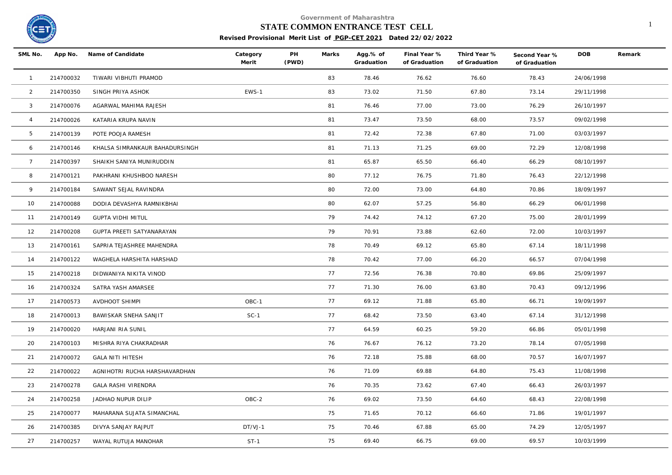

#### **STATE COMMON ENTRANCE TEST CELL** 1

| SML No.         |           | App No. Name of Candidate      | Category<br>Merit | PH<br>(PWD) | Marks | Agg.% of<br>Graduation | Final Year %<br>of Graduation | Third Year %<br>of Graduation | Second Year %<br>of Graduation | <b>DOB</b> | Remark |
|-----------------|-----------|--------------------------------|-------------------|-------------|-------|------------------------|-------------------------------|-------------------------------|--------------------------------|------------|--------|
| $\overline{1}$  | 214700032 | TIWARI VIBHUTI PRAMOD          |                   |             | 83    | 78.46                  | 76.62                         | 76.60                         | 78.43                          | 24/06/1998 |        |
| $\overline{2}$  | 214700350 | SINGH PRIYA ASHOK              | EWS-1             |             | 83    | 73.02                  | 71.50                         | 67.80                         | 73.14                          | 29/11/1998 |        |
| $\mathbf{3}$    | 214700076 | AGARWAL MAHIMA RAJESH          |                   |             | 81    | 76.46                  | 77.00                         | 73.00                         | 76.29                          | 26/10/1997 |        |
| $\overline{4}$  | 214700026 | KATARIA KRUPA NAVIN            |                   |             | 81    | 73.47                  | 73.50                         | 68.00                         | 73.57                          | 09/02/1998 |        |
| 5               | 214700139 | POTE POOJA RAMESH              |                   |             | 81    | 72.42                  | 72.38                         | 67.80                         | 71.00                          | 03/03/1997 |        |
| 6               | 214700146 | KHALSA SIMRANKAUR BAHADURSINGH |                   |             | 81    | 71.13                  | 71.25                         | 69.00                         | 72.29                          | 12/08/1998 |        |
| $7\overline{ }$ | 214700397 | SHAIKH SANIYA MUNIRUDDIN       |                   |             | 81    | 65.87                  | 65.50                         | 66.40                         | 66.29                          | 08/10/1997 |        |
| 8               | 214700121 | PAKHRANI KHUSHBOO NARESH       |                   |             | 80    | 77.12                  | 76.75                         | 71.80                         | 76.43                          | 22/12/1998 |        |
| 9               | 214700184 | SAWANT SEJAL RAVINDRA          |                   |             | 80    | 72.00                  | 73.00                         | 64.80                         | 70.86                          | 18/09/1997 |        |
| 10 <sup>°</sup> | 214700088 | DODIA DEVASHYA RAMNIKBHAI      |                   |             | 80    | 62.07                  | 57.25                         | 56.80                         | 66.29                          | 06/01/1998 |        |
| 11              | 214700149 | <b>GUPTA VIDHI MITUL</b>       |                   |             | 79    | 74.42                  | 74.12                         | 67.20                         | 75.00                          | 28/01/1999 |        |
| 12              | 214700208 | GUPTA PREETI SATYANARAYAN      |                   |             | 79    | 70.91                  | 73.88                         | 62.60                         | 72.00                          | 10/03/1997 |        |
| 13              | 214700161 | SAPRIA TEJASHREE MAHENDRA      |                   |             | 78    | 70.49                  | 69.12                         | 65.80                         | 67.14                          | 18/11/1998 |        |
| 14              | 214700122 | WAGHELA HARSHITA HARSHAD       |                   |             | 78    | 70.42                  | 77.00                         | 66.20                         | 66.57                          | 07/04/1998 |        |
| 15              | 214700218 | DIDWANIYA NIKITA VINOD         |                   |             | 77    | 72.56                  | 76.38                         | 70.80                         | 69.86                          | 25/09/1997 |        |
| 16              | 214700324 | SATRA YASH AMARSEE             |                   |             | 77    | 71.30                  | 76.00                         | 63.80                         | 70.43                          | 09/12/1996 |        |
| 17              | 214700573 | AVDHOOT SHIMPI                 | OBC-1             |             | 77    | 69.12                  | 71.88                         | 65.80                         | 66.71                          | 19/09/1997 |        |
| 18              | 214700013 | BAWISKAR SNEHA SANJIT          | $SC-1$            |             | 77    | 68.42                  | 73.50                         | 63.40                         | 67.14                          | 31/12/1998 |        |
| 19              | 214700020 | HARJANI RIA SUNIL              |                   |             | 77    | 64.59                  | 60.25                         | 59.20                         | 66.86                          | 05/01/1998 |        |
| 20              | 214700103 | MISHRA RIYA CHAKRADHAR         |                   |             | 76    | 76.67                  | 76.12                         | 73.20                         | 78.14                          | 07/05/1998 |        |
| 21              | 214700072 | <b>GALA NITI HITESH</b>        |                   |             | 76    | 72.18                  | 75.88                         | 68.00                         | 70.57                          | 16/07/1997 |        |
| 22              | 214700022 | AGNIHOTRI RUCHA HARSHAVARDHAN  |                   |             | 76    | 71.09                  | 69.88                         | 64.80                         | 75.43                          | 11/08/1998 |        |
| 23              | 214700278 | GALA RASHI VIRENDRA            |                   |             | 76    | 70.35                  | 73.62                         | 67.40                         | 66.43                          | 26/03/1997 |        |
| 24              | 214700258 | JADHAO NUPUR DILIP             | OBC-2             |             | 76    | 69.02                  | 73.50                         | 64.60                         | 68.43                          | 22/08/1998 |        |
| 25              | 214700077 | MAHARANA SUJATA SIMANCHAL      |                   |             | 75    | 71.65                  | 70.12                         | 66.60                         | 71.86                          | 19/01/1997 |        |
| 26              | 214700385 | DIVYA SANJAY RAJPUT            | $DT/VJ-1$         |             | 75    | 70.46                  | 67.88                         | 65.00                         | 74.29                          | 12/05/1997 |        |
| 27              | 214700257 | WAYAL RUTUJA MANOHAR           | $ST-1$            |             | 75    | 69.40                  | 66.75                         | 69.00                         | 69.57                          | 10/03/1999 |        |
|                 |           |                                |                   |             |       |                        |                               |                               |                                |            |        |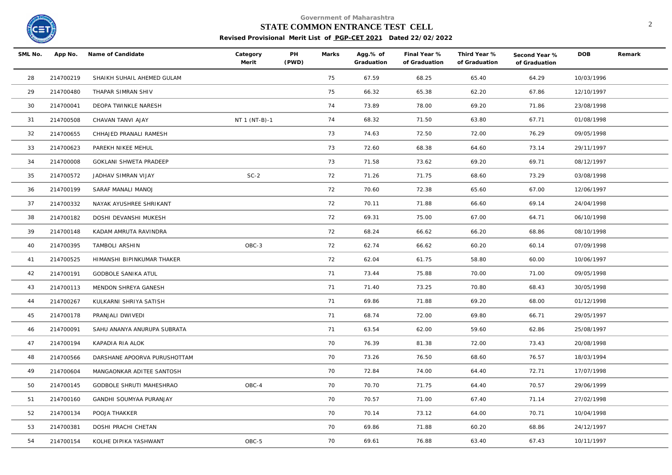

# **STATE COMMON ENTRANCE TEST CELL** 2

| SML No. |           | App No. Name of Candidate    | Category<br>Merit | PH<br>(PWD) | Marks | Agg.% of<br>Graduation | Final Year %<br>of Graduation | Third Year %<br>of Graduation | Second Year %<br>of Graduation | <b>DOB</b> | Remark |
|---------|-----------|------------------------------|-------------------|-------------|-------|------------------------|-------------------------------|-------------------------------|--------------------------------|------------|--------|
| 28      | 214700219 | SHAIKH SUHAIL AHEMED GULAM   |                   |             | 75    | 67.59                  | 68.25                         | 65.40                         | 64.29                          | 10/03/1996 |        |
| 29      | 214700480 | THAPAR SIMRAN SHIV           |                   |             | 75    | 66.32                  | 65.38                         | 62.20                         | 67.86                          | 12/10/1997 |        |
| 30      | 214700041 | DEOPA TWINKLE NARESH         |                   |             | 74    | 73.89                  | 78.00                         | 69.20                         | 71.86                          | 23/08/1998 |        |
| 31      | 214700508 | CHAVAN TANVI AJAY            | NT 1 (NT-B)-1     |             | 74    | 68.32                  | 71.50                         | 63.80                         | 67.71                          | 01/08/1998 |        |
| 32      | 214700655 | CHHAJED PRANALI RAMESH       |                   |             | 73    | 74.63                  | 72.50                         | 72.00                         | 76.29                          | 09/05/1998 |        |
| 33      | 214700623 | PAREKH NIKEE MEHUL           |                   |             | 73    | 72.60                  | 68.38                         | 64.60                         | 73.14                          | 29/11/1997 |        |
| 34      | 214700008 | GOKLANI SHWETA PRADEEP       |                   |             | 73    | 71.58                  | 73.62                         | 69.20                         | 69.71                          | 08/12/1997 |        |
| 35      | 214700572 | JADHAV SIMRAN VIJAY          | $SC-2$            |             | 72    | 71.26                  | 71.75                         | 68.60                         | 73.29                          | 03/08/1998 |        |
| 36      | 214700199 | SARAF MANALI MANOJ           |                   |             | 72    | 70.60                  | 72.38                         | 65.60                         | 67.00                          | 12/06/1997 |        |
| 37      | 214700332 | NAYAK AYUSHREE SHRIKANT      |                   |             | 72    | 70.11                  | 71.88                         | 66.60                         | 69.14                          | 24/04/1998 |        |
| 38      | 214700182 | DOSHI DEVANSHI MUKESH        |                   |             | 72    | 69.31                  | 75.00                         | 67.00                         | 64.71                          | 06/10/1998 |        |
| 39      | 214700148 | KADAM AMRUTA RAVINDRA        |                   |             | 72    | 68.24                  | 66.62                         | 66.20                         | 68.86                          | 08/10/1998 |        |
| 40      | 214700395 | TAMBOLI ARSHIN               | OBC-3             |             | 72    | 62.74                  | 66.62                         | 60.20                         | 60.14                          | 07/09/1998 |        |
| 41      | 214700525 | HIMANSHI BIPINKUMAR THAKER   |                   |             | 72    | 62.04                  | 61.75                         | 58.80                         | 60.00                          | 10/06/1997 |        |
| 42      | 214700191 | <b>GODBOLE SANIKA ATUL</b>   |                   |             | 71    | 73.44                  | 75.88                         | 70.00                         | 71.00                          | 09/05/1998 |        |
| 43      | 214700113 | MENDON SHREYA GANESH         |                   |             | 71    | 71.40                  | 73.25                         | 70.80                         | 68.43                          | 30/05/1998 |        |
| 44      | 214700267 | KULKARNI SHRIYA SATISH       |                   |             | 71    | 69.86                  | 71.88                         | 69.20                         | 68.00                          | 01/12/1998 |        |
| 45      | 214700178 | PRANJALI DWIVEDI             |                   |             | 71    | 68.74                  | 72.00                         | 69.80                         | 66.71                          | 29/05/1997 |        |
| 46      | 214700091 | SAHU ANANYA ANURUPA SUBRATA  |                   |             | 71    | 63.54                  | 62.00                         | 59.60                         | 62.86                          | 25/08/1997 |        |
| 47      | 214700194 | KAPADIA RIA ALOK             |                   |             | 70    | 76.39                  | 81.38                         | 72.00                         | 73.43                          | 20/08/1998 |        |
| 48      | 214700566 | DARSHANE APOORVA PURUSHOTTAM |                   |             | 70    | 73.26                  | 76.50                         | 68.60                         | 76.57                          | 18/03/1994 |        |
| 49      | 214700604 | MANGAONKAR ADITEE SANTOSH    |                   |             | 70    | 72.84                  | 74.00                         | 64.40                         | 72.71                          | 17/07/1998 |        |
| 50      | 214700145 | GODBOLE SHRUTI MAHESHRAO     | OBC-4             |             | 70    | 70.70                  | 71.75                         | 64.40                         | 70.57                          | 29/06/1999 |        |
| 51      | 214700160 | GANDHI SOUMYAA PURANJAY      |                   |             | 70    | 70.57                  | 71.00                         | 67.40                         | 71.14                          | 27/02/1998 |        |
| 52      | 214700134 | POOJA THAKKER                |                   |             | 70    | 70.14                  | 73.12                         | 64.00                         | 70.71                          | 10/04/1998 |        |
| 53      | 214700381 | DOSHI PRACHI CHETAN          |                   |             | 70    | 69.86                  | 71.88                         | 60.20                         | 68.86                          | 24/12/1997 |        |
| 54      | 214700154 | KOLHE DIPIKA YASHWANT        | OBC-5             |             | 70    | 69.61                  | 76.88                         | 63.40                         | 67.43                          | 10/11/1997 |        |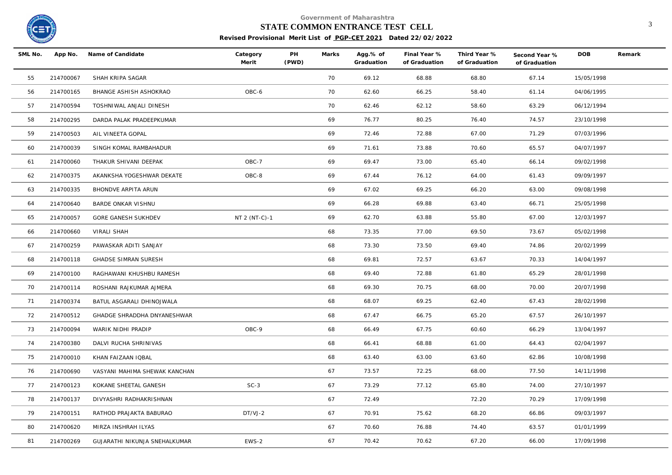

# **STATE COMMON ENTRANCE TEST CELL** 3

| SML No. |           | App No. Name of Candidate     | Category<br>Merit | PH<br>(PWD) | Marks | Agg.% of<br>Graduation | Final Year %<br>of Graduation | Third Year %<br>of Graduation | Second Year %<br>of Graduation | <b>DOB</b> | Remark |
|---------|-----------|-------------------------------|-------------------|-------------|-------|------------------------|-------------------------------|-------------------------------|--------------------------------|------------|--------|
| 55      | 214700067 | SHAH KRIPA SAGAR              |                   |             | 70    | 69.12                  | 68.88                         | 68.80                         | 67.14                          | 15/05/1998 |        |
| 56      | 214700165 | BHANGE ASHISH ASHOKRAO        | OBC-6             |             | 70    | 62.60                  | 66.25                         | 58.40                         | 61.14                          | 04/06/1995 |        |
| 57      | 214700594 | TOSHNIWAL ANJALI DINESH       |                   |             | 70    | 62.46                  | 62.12                         | 58.60                         | 63.29                          | 06/12/1994 |        |
| 58      | 214700295 | DARDA PALAK PRADEEPKUMAR      |                   |             | 69    | 76.77                  | 80.25                         | 76.40                         | 74.57                          | 23/10/1998 |        |
| 59      | 214700503 | AIL VINEETA GOPAL             |                   |             | 69    | 72.46                  | 72.88                         | 67.00                         | 71.29                          | 07/03/1996 |        |
| 60      | 214700039 | SINGH KOMAL RAMBAHADUR        |                   |             | 69    | 71.61                  | 73.88                         | 70.60                         | 65.57                          | 04/07/1997 |        |
| 61      | 214700060 | THAKUR SHIVANI DEEPAK         | OBC-7             |             | 69    | 69.47                  | 73.00                         | 65.40                         | 66.14                          | 09/02/1998 |        |
| 62      | 214700375 | AKANKSHA YOGESHWAR DEKATE     | OBC-8             |             | 69    | 67.44                  | 76.12                         | 64.00                         | 61.43                          | 09/09/1997 |        |
| 63      | 214700335 | BHONDVE ARPITA ARUN           |                   |             | 69    | 67.02                  | 69.25                         | 66.20                         | 63.00                          | 09/08/1998 |        |
| 64      | 214700640 | BARDE ONKAR VISHNU            |                   |             | 69    | 66.28                  | 69.88                         | 63.40                         | 66.71                          | 25/05/1998 |        |
| 65      | 214700057 | GORE GANESH SUKHDEV           | NT 2 (NT-C)-1     |             | 69    | 62.70                  | 63.88                         | 55.80                         | 67.00                          | 12/03/1997 |        |
| 66      | 214700660 | VIRALI SHAH                   |                   |             | 68    | 73.35                  | 77.00                         | 69.50                         | 73.67                          | 05/02/1998 |        |
| 67      | 214700259 | PAWASKAR ADITI SANJAY         |                   |             | 68    | 73.30                  | 73.50                         | 69.40                         | 74.86                          | 20/02/1999 |        |
| 68      | 214700118 | GHADSE SIMRAN SURESH          |                   |             | 68    | 69.81                  | 72.57                         | 63.67                         | 70.33                          | 14/04/1997 |        |
| 69      | 214700100 | RAGHAWANI KHUSHBU RAMESH      |                   |             | 68    | 69.40                  | 72.88                         | 61.80                         | 65.29                          | 28/01/1998 |        |
| 70      | 214700114 | ROSHANI RAJKUMAR AJMERA       |                   |             | 68    | 69.30                  | 70.75                         | 68.00                         | 70.00                          | 20/07/1998 |        |
| 71      | 214700374 | BATUL ASGARALI DHINOJWALA     |                   |             | 68    | 68.07                  | 69.25                         | 62.40                         | 67.43                          | 28/02/1998 |        |
| 72      | 214700512 | GHADGE SHRADDHA DNYANESHWAR   |                   |             | 68    | 67.47                  | 66.75                         | 65.20                         | 67.57                          | 26/10/1997 |        |
| 73      | 214700094 | WARIK NIDHI PRADIP            | OBC-9             |             | 68    | 66.49                  | 67.75                         | 60.60                         | 66.29                          | 13/04/1997 |        |
| 74      | 214700380 | DALVI RUCHA SHRINIVAS         |                   |             | 68    | 66.41                  | 68.88                         | 61.00                         | 64.43                          | 02/04/1997 |        |
| 75      | 214700010 | KHAN FAIZAAN IQBAL            |                   |             | 68    | 63.40                  | 63.00                         | 63.60                         | 62.86                          | 10/08/1998 |        |
| 76      | 214700690 | VASYANI MAHIMA SHEWAK KANCHAN |                   |             | 67    | 73.57                  | 72.25                         | 68.00                         | 77.50                          | 14/11/1998 |        |
| 77      | 214700123 | KOKANE SHEETAL GANESH         | $SC-3$            |             | 67    | 73.29                  | 77.12                         | 65.80                         | 74.00                          | 27/10/1997 |        |
| 78      | 214700137 | DIVYASHRI RADHAKRISHNAN       |                   |             | 67    | 72.49                  |                               | 72.20                         | 70.29                          | 17/09/1998 |        |
| 79      | 214700151 | RATHOD PRAJAKTA BABURAO       | DT/VJ-2           |             | 67    | 70.91                  | 75.62                         | 68.20                         | 66.86                          | 09/03/1997 |        |
| 80      | 214700620 | MIRZA INSHRAH ILYAS           |                   |             | 67    | 70.60                  | 76.88                         | 74.40                         | 63.57                          | 01/01/1999 |        |
| 81      | 214700269 | GUJARATHI NIKUNJA SNEHALKUMAR | EWS-2             |             | 67    | 70.42                  | 70.62                         | 67.20                         | 66.00                          | 17/09/1998 |        |
|         |           |                               |                   |             |       |                        |                               |                               |                                |            |        |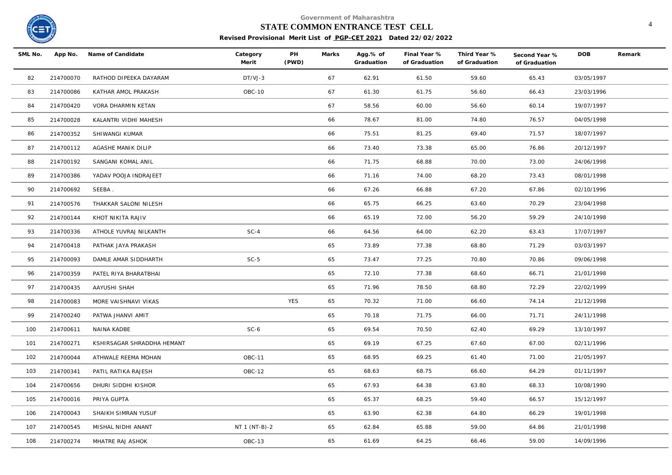

#### **STATE COMMON ENTRANCE TEST CELL** 4

| SML No. | App No.   | Name of Candidate          | Category<br>Merit | PH<br>(PWD) | Marks | Agg.% of<br>Graduation | Final Year %<br>of Graduation | Third Year %<br>of Graduation | Second Year %<br>of Graduation | <b>DOB</b> | Remark |
|---------|-----------|----------------------------|-------------------|-------------|-------|------------------------|-------------------------------|-------------------------------|--------------------------------|------------|--------|
| 82      | 214700070 | RATHOD DIPEEKA DAYARAM     | DT/VJ-3           |             | 67    | 62.91                  | 61.50                         | 59.60                         | 65.43                          | 03/05/1997 |        |
| 83      | 214700086 | KATHAR AMOL PRAKASH        | OBC-10            |             | 67    | 61.30                  | 61.75                         | 56.60                         | 66.43                          | 23/03/1996 |        |
| 84      | 214700420 | VORA DHARMIN KETAN         |                   |             | 67    | 58.56                  | 60.00                         | 56.60                         | 60.14                          | 19/07/1997 |        |
| 85      | 214700028 | KALANTRI VIDHI MAHESH      |                   |             | 66    | 78.67                  | 81.00                         | 74.80                         | 76.57                          | 04/05/1998 |        |
| 86      | 214700352 | SHIWANGI KUMAR             |                   |             | 66    | 75.51                  | 81.25                         | 69.40                         | 71.57                          | 18/07/1997 |        |
| 87      | 214700112 | AGASHE MANIK DILIP         |                   |             | 66    | 73.40                  | 73.38                         | 65.00                         | 76.86                          | 20/12/1997 |        |
| 88      | 214700192 | SANGANI KOMAL ANIL         |                   |             | 66    | 71.75                  | 68.88                         | 70.00                         | 73.00                          | 24/06/1998 |        |
| 89      | 214700386 | YADAV POOJA INDRAJEET      |                   |             | 66    | 71.16                  | 74.00                         | 68.20                         | 73.43                          | 08/01/1998 |        |
| 90      | 214700692 | SEEBA.                     |                   |             | 66    | 67.26                  | 66.88                         | 67.20                         | 67.86                          | 02/10/1996 |        |
| 91      | 214700576 | THAKKAR SALONI NILESH      |                   |             | 66    | 65.75                  | 66.25                         | 63.60                         | 70.29                          | 23/04/1998 |        |
| 92      | 214700144 | KHOT NIKITA RAJIV          |                   |             | 66    | 65.19                  | 72.00                         | 56.20                         | 59.29                          | 24/10/1998 |        |
| 93      | 214700336 | ATHOLE YUVRAJ NILKANTH     | $SC-4$            |             | 66    | 64.56                  | 64.00                         | 62.20                         | 63.43                          | 17/07/1997 |        |
| 94      | 214700418 | PATHAK JAYA PRAKASH        |                   |             | 65    | 73.89                  | 77.38                         | 68.80                         | 71.29                          | 03/03/1997 |        |
| 95      | 214700093 | DAMLE AMAR SIDDHARTH       | $SC-5$            |             | 65    | 73.47                  | 77.25                         | 70.80                         | 70.86                          | 09/06/1998 |        |
| 96      | 214700359 | PATEL RIYA BHARATBHAI      |                   |             | 65    | 72.10                  | 77.38                         | 68.60                         | 66.71                          | 21/01/1998 |        |
| 97      | 214700435 | AAYUSHI SHAH               |                   |             | 65    | 71.96                  | 78.50                         | 68.80                         | 72.29                          | 22/02/1999 |        |
| 98      | 214700083 | MORE VAISHNAVI VIKAS       |                   | YES         | 65    | 70.32                  | 71.00                         | 66.60                         | 74.14                          | 21/12/1998 |        |
| 99      | 214700240 | PATWA JHANVI AMIT          |                   |             | 65    | 70.18                  | 71.75                         | 66.00                         | 71.71                          | 24/11/1998 |        |
| 100     | 214700611 | NAINA KADBE                | $SC-6$            |             | 65    | 69.54                  | 70.50                         | 62.40                         | 69.29                          | 13/10/1997 |        |
| 101     | 214700271 | KSHIRSAGAR SHRADDHA HEMANT |                   |             | 65    | 69.19                  | 67.25                         | 67.60                         | 67.00                          | 02/11/1996 |        |
| 102     | 214700044 | ATHWALE REEMA MOHAN        | <b>OBC-11</b>     |             | 65    | 68.95                  | 69.25                         | 61.40                         | 71.00                          | 21/05/1997 |        |
| 103     | 214700341 | PATIL RATIKA RAJESH        | OBC-12            |             | 65    | 68.63                  | 68.75                         | 66.60                         | 64.29                          | 01/11/1997 |        |
| 104     | 214700656 | DHURI SIDDHI KISHOR        |                   |             | 65    | 67.93                  | 64.38                         | 63.80                         | 68.33                          | 10/08/1990 |        |
| 105     | 214700016 | PRIYA GUPTA                |                   |             | 65    | 65.37                  | 68.25                         | 59.40                         | 66.57                          | 15/12/1997 |        |
| 106     | 214700043 | SHAIKH SIMRAN YUSUF        |                   |             | 65    | 63.90                  | 62.38                         | 64.80                         | 66.29                          | 19/01/1998 |        |
| 107     | 214700545 | MISHAL NIDHI ANANT         | NT 1 (NT-B)-2     |             | 65    | 62.84                  | 65.88                         | 59.00                         | 64.86                          | 21/01/1998 |        |
| 108     | 214700274 | MHATRE RAJ ASHOK           | OBC-13            |             | 65    | 61.69                  | 64.25                         | 66.46                         | 59.00                          | 14/09/1996 |        |
|         |           |                            |                   |             |       |                        |                               |                               |                                |            |        |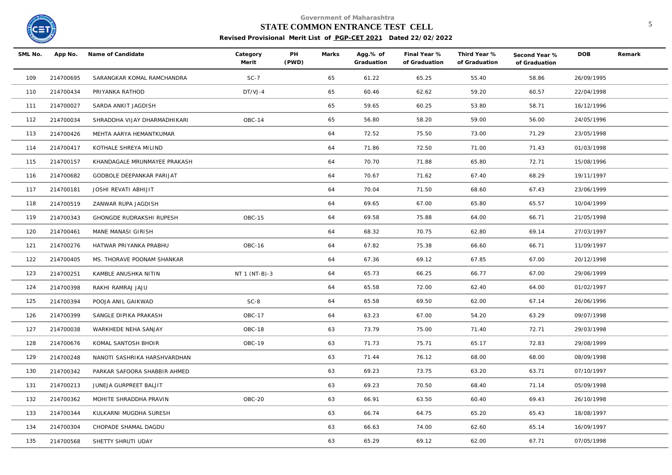

#### **STATE COMMON ENTRANCE TEST CELL** 5

| SML No. | App No.   | Name of Candidate            | Category<br>Merit | PH<br>(PWD) | Marks | Agg.% of<br>Graduation | Final Year %<br>of Graduation | Third Year %<br>of Graduation | Second Year %<br>of Graduation | <b>DOB</b> | Remark |
|---------|-----------|------------------------------|-------------------|-------------|-------|------------------------|-------------------------------|-------------------------------|--------------------------------|------------|--------|
| 109     | 214700695 | SARANGKAR KOMAL RAMCHANDRA   | $SC-7$            |             | 65    | 61.22                  | 65.25                         | 55.40                         | 58.86                          | 26/09/1995 |        |
| 110     | 214700434 | PRIYANKA RATHOD              | DT/VJ-4           |             | 65    | 60.46                  | 62.62                         | 59.20                         | 60.57                          | 22/04/1998 |        |
| 111     | 214700027 | SARDA ANKIT JAGDISH          |                   |             | 65    | 59.65                  | 60.25                         | 53.80                         | 58.71                          | 16/12/1996 |        |
| 112     | 214700034 | SHRADDHA VIJAY DHARMADHIKARI | OBC-14            |             | 65    | 56.80                  | 58.20                         | 59.00                         | 56.00                          | 24/05/1996 |        |
| 113     | 214700426 | MEHTA AARYA HEMANTKUMAR      |                   |             | 64    | 72.52                  | 75.50                         | 73.00                         | 71.29                          | 23/05/1998 |        |
| 114     | 214700417 | KOTHALE SHREYA MILIND        |                   |             | 64    | 71.86                  | 72.50                         | 71.00                         | 71.43                          | 01/03/1998 |        |
| 115     | 214700157 | KHANDAGALE MRUNMAYEE PRAKASH |                   |             | 64    | 70.70                  | 71.88                         | 65.80                         | 72.71                          | 15/08/1996 |        |
| 116     | 214700682 | GODBOLE DEEPANKAR PARIJAT    |                   |             | 64    | 70.67                  | 71.62                         | 67.40                         | 68.29                          | 19/11/1997 |        |
| 117     | 214700181 | JOSHI REVATI ABHIJIT         |                   |             | 64    | 70.04                  | 71.50                         | 68.60                         | 67.43                          | 23/06/1999 |        |
| 118     | 214700519 | ZANWAR RUPA JAGDISH          |                   |             | 64    | 69.65                  | 67.00                         | 65.80                         | 65.57                          | 10/04/1999 |        |
| 119     | 214700343 | GHONGDE RUDRAKSHI RUPESH     | OBC-15            |             | 64    | 69.58                  | 75.88                         | 64.00                         | 66.71                          | 21/05/1998 |        |
| 120     | 214700461 | MANE MANASI GIRISH           |                   |             | 64    | 68.32                  | 70.75                         | 62.80                         | 69.14                          | 27/03/1997 |        |
| 121     | 214700276 | HATWAR PRIYANKA PRABHU       | OBC-16            |             | 64    | 67.82                  | 75.38                         | 66.60                         | 66.71                          | 11/09/1997 |        |
| 122     | 214700405 | MS. THORAVE POONAM SHANKAR   |                   |             | 64    | 67.36                  | 69.12                         | 67.85                         | 67.00                          | 20/12/1998 |        |
| 123     | 214700251 | KAMBLE ANUSHKA NITIN         | NT 1 (NT-B)-3     |             | 64    | 65.73                  | 66.25                         | 66.77                         | 67.00                          | 29/06/1999 |        |
| 124     | 214700398 | RAKHI RAMRAJ JAJU            |                   |             | 64    | 65.58                  | 72.00                         | 62.40                         | 64.00                          | 01/02/1997 |        |
| 125     | 214700394 | POOJA ANIL GAIKWAD           | $SC-8$            |             | 64    | 65.58                  | 69.50                         | 62.00                         | 67.14                          | 26/06/1996 |        |
| 126     | 214700399 | SANGLE DIPIKA PRAKASH        | <b>OBC-17</b>     |             | 64    | 63.23                  | 67.00                         | 54.20                         | 63.29                          | 09/07/1998 |        |
| 127     | 214700038 | WARKHEDE NEHA SANJAY         | OBC-18            |             | 63    | 73.79                  | 75.00                         | 71.40                         | 72.71                          | 29/03/1998 |        |
| 128     | 214700676 | KOMAL SANTOSH BHOIR          | OBC-19            |             | 63    | 71.73                  | 75.71                         | 65.17                         | 72.83                          | 29/08/1999 |        |
| 129     | 214700248 | NANOTI SASHRIKA HARSHVARDHAN |                   |             | 63    | 71.44                  | 76.12                         | 68.00                         | 68.00                          | 08/09/1998 |        |
| 130     | 214700342 | PARKAR SAFOORA SHABBIR AHMED |                   |             | 63    | 69.23                  | 73.75                         | 63.20                         | 63.71                          | 07/10/1997 |        |
| 131     | 214700213 | JUNEJA GURPREET BALJIT       |                   |             | 63    | 69.23                  | 70.50                         | 68.40                         | 71.14                          | 05/09/1998 |        |
| 132     | 214700362 | MOHITE SHRADDHA PRAVIN       | OBC-20            |             | 63    | 66.91                  | 63.50                         | 60.40                         | 69.43                          | 26/10/1998 |        |
| 133     | 214700344 | KULKARNI MUGDHA SURESH       |                   |             | 63    | 66.74                  | 64.75                         | 65.20                         | 65.43                          | 18/08/1997 |        |
| 134     | 214700304 | CHOPADE SHAMAL DAGDU         |                   |             | 63    | 66.63                  | 74.00                         | 62.60                         | 65.14                          | 16/09/1997 |        |
| 135     | 214700568 | SHETTY SHRUTI UDAY           |                   |             | 63    | 65.29                  | 69.12                         | 62.00                         | 67.71                          | 07/05/1998 |        |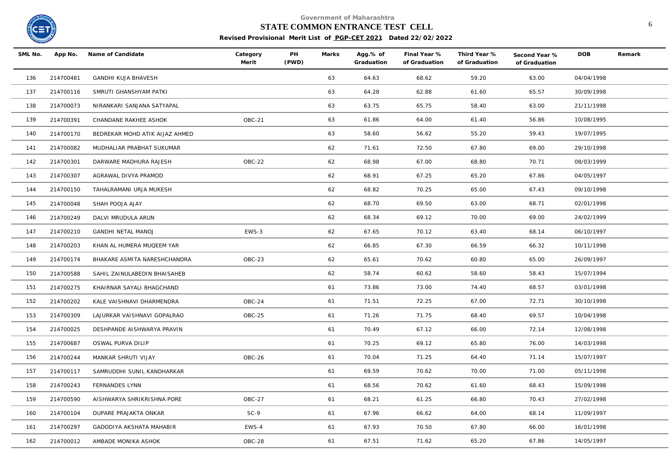

#### **STATE COMMON ENTRANCE TEST CELL** 6

| SML No. |           | App No. Name of Candidate      | Category<br>Merit | PH<br>(PWD) | Marks | Agg.% of<br>Graduation | Final Year %<br>of Graduation | Third Year %<br>of Graduation | Second Year %<br>of Graduation | <b>DOB</b> | Remark |
|---------|-----------|--------------------------------|-------------------|-------------|-------|------------------------|-------------------------------|-------------------------------|--------------------------------|------------|--------|
| 136     | 214700481 | GANDHI KUJA BHAVESH            |                   |             | 63    | 64.63                  | 68.62                         | 59.20                         | 63.00                          | 04/04/1998 |        |
| 137     | 214700116 | SMRUTI GHANSHYAM PATKI         |                   |             | 63    | 64.28                  | 62.88                         | 61.60                         | 65.57                          | 30/09/1998 |        |
| 138     | 214700073 | NIRANKARI SANJANA SATYAPAL     |                   |             | 63    | 63.75                  | 65.75                         | 58.40                         | 63.00                          | 21/11/1998 |        |
| 139     | 214700391 | CHANDANE RAKHEE ASHOK          | OBC-21            |             | 63    | 61.86                  | 64.00                         | 61.40                         | 56.86                          | 10/08/1995 |        |
| 140     | 214700170 | BEDREKAR MOHD ATIK AIJAZ AHMED |                   |             | 63    | 58.60                  | 56.62                         | 55.20                         | 59.43                          | 19/07/1995 |        |
| 141     | 214700082 | MUDHALIAR PRABHAT SUKUMAR      |                   |             | 62    | 71.61                  | 72.50                         | 67.80                         | 69.00                          | 29/10/1998 |        |
| 142     | 214700301 | DARWARE MADHURA RAJESH         | <b>OBC-22</b>     |             | 62    | 68.98                  | 67.00                         | 68.80                         | 70.71                          | 08/03/1999 |        |
| 143     | 214700307 | AGRAWAL DIVYA PRAMOD           |                   |             | 62    | 68.91                  | 67.25                         | 65.20                         | 67.86                          | 04/05/1997 |        |
| 144     | 214700150 | TAHALRAMANI URJA MUKESH        |                   |             | 62    | 68.82                  | 70.25                         | 65.00                         | 67.43                          | 09/10/1998 |        |
| 145     | 214700048 | SHAH POOJA AJAY                |                   |             | 62    | 68.70                  | 69.50                         | 63.00                         | 68.71                          | 02/01/1998 |        |
| 146     | 214700249 | DALVI MRUDULA ARUN             |                   |             | 62    | 68.34                  | 69.12                         | 70.00                         | 69.00                          | 24/02/1999 |        |
| 147     | 214700210 | <b>GANDHI NETAL MANOJ</b>      | EWS-3             |             | 62    | 67.65                  | 70.12                         | 63.40                         | 68.14                          | 06/10/1997 |        |
| 148     | 214700203 | KHAN AL HUMERA MUQEEM YAR      |                   |             | 62    | 66.85                  | 67.30                         | 66.59                         | 66.32                          | 10/11/1998 |        |
| 149     | 214700174 | BHAKARE ASMITA NARESHCHANDRA   | OBC-23            |             | 62    | 65.61                  | 70.62                         | 60.80                         | 65.00                          | 26/09/1997 |        |
| 150     | 214700588 | SAHIL ZAINULABEDIN BHAISAHEB   |                   |             | 62    | 58.74                  | 60.62                         | 58.60                         | 58.43                          | 15/07/1994 |        |
| 151     | 214700275 | KHAIRNAR SAYALI BHAGCHAND      |                   |             | 61    | 73.86                  | 73.00                         | 74.40                         | 68.57                          | 03/01/1998 |        |
| 152     | 214700202 | KALE VAISHNAVI DHARMENDRA      | $OBC-24$          |             | 61    | 71.51                  | 72.25                         | 67.00                         | 72.71                          | 30/10/1998 |        |
| 153     | 214700309 | LAJURKAR VAISHNAVI GOPALRAO    | OBC-25            |             | 61    | 71.26                  | 71.75                         | 68.40                         | 69.57                          | 10/04/1998 |        |
| 154     | 214700025 | DESHPANDE AISHWARYA PRAVIN     |                   |             | 61    | 70.49                  | 67.12                         | 66.00                         | 72.14                          | 12/08/1998 |        |
| 155     | 214700687 | OSWAL PURVA DILIP              |                   |             | 61    | 70.25                  | 69.12                         | 65.80                         | 76.00                          | 14/03/1998 |        |
| 156     | 214700244 | MANKAR SHRUTI VIJAY            | OBC-26            |             | 61    | 70.04                  | 71.25                         | 64.40                         | 71.14                          | 15/07/1997 |        |
| 157     | 214700117 | SAMRUDDHI SUNIL KANDHARKAR     |                   |             | 61    | 69.59                  | 70.62                         | 70.00                         | 71.00                          | 05/11/1998 |        |
| 158     | 214700243 | FERNANDES LYNN                 |                   |             | 61    | 68.56                  | 70.62                         | 61.60                         | 68.43                          | 15/09/1998 |        |
| 159     | 214700590 | AISHWARYA SHRIKRISHNA PORE     | <b>OBC-27</b>     |             | 61    | 68.21                  | 61.25                         | 66.80                         | 70.43                          | 27/02/1998 |        |
| 160     | 214700104 | DUPARE PRAJAKTA ONKAR          | $SC-9$            |             | 61    | 67.96                  | 66.62                         | 64.00                         | 68.14                          | 11/09/1997 |        |
| 161     | 214700297 | GADODIYA AKSHATA MAHABIR       | EWS-4             |             | 61    | 67.93                  | 70.50                         | 67.80                         | 66.00                          | 16/01/1998 |        |
| 162     | 214700012 | AMBADE MONIKA ASHOK            | OBC-28            |             | 61    | 67.51                  | 71.62                         | 65.20                         | 67.86                          | 14/05/1997 |        |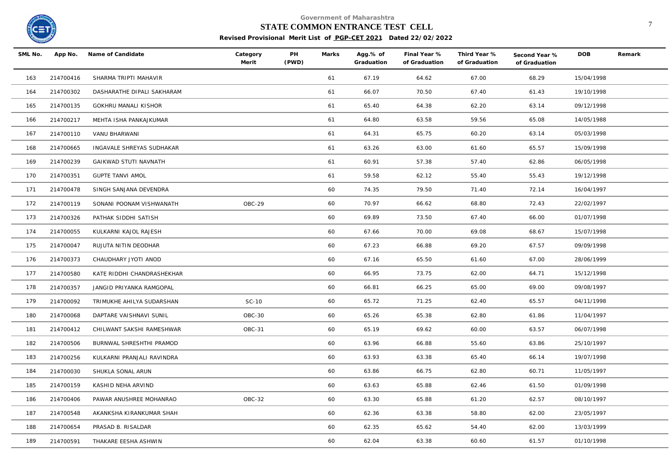

## **STATE COMMON ENTRANCE TEST CELL** <sup>7</sup>

| SML No. | App No.   | Name of Candidate          | Category<br>Merit | PH<br>(PWD) | Marks | Agg.% of<br>Graduation | Final Year %<br>of Graduation | Third Year %<br>of Graduation | Second Year %<br>of Graduation | <b>DOB</b> | Remark |
|---------|-----------|----------------------------|-------------------|-------------|-------|------------------------|-------------------------------|-------------------------------|--------------------------------|------------|--------|
| 163     | 214700416 | SHARMA TRIPTI MAHAVIR      |                   |             | 61    | 67.19                  | 64.62                         | 67.00                         | 68.29                          | 15/04/1998 |        |
| 164     | 214700302 | DASHARATHE DIPALI SAKHARAM |                   |             | 61    | 66.07                  | 70.50                         | 67.40                         | 61.43                          | 19/10/1998 |        |
| 165     | 214700135 | GOKHRU MANALI KISHOR       |                   |             | 61    | 65.40                  | 64.38                         | 62.20                         | 63.14                          | 09/12/1998 |        |
| 166     | 214700217 | MEHTA ISHA PANKAJKUMAR     |                   |             | 61    | 64.80                  | 63.58                         | 59.56                         | 65.08                          | 14/05/1988 |        |
| 167     | 214700110 | VANU BHARWANI              |                   |             | 61    | 64.31                  | 65.75                         | 60.20                         | 63.14                          | 05/03/1998 |        |
| 168     | 214700665 | INGAVALE SHREYAS SUDHAKAR  |                   |             | 61    | 63.26                  | 63.00                         | 61.60                         | 65.57                          | 15/09/1998 |        |
| 169     | 214700239 | GAIKWAD STUTI NAVNATH      |                   |             | 61    | 60.91                  | 57.38                         | 57.40                         | 62.86                          | 06/05/1998 |        |
| 170     | 214700351 | <b>GUPTE TANVI AMOL</b>    |                   |             | 61    | 59.58                  | 62.12                         | 55.40                         | 55.43                          | 19/12/1998 |        |
| 171     | 214700478 | SINGH SANJANA DEVENDRA     |                   |             | 60    | 74.35                  | 79.50                         | 71.40                         | 72.14                          | 16/04/1997 |        |
| 172     | 214700119 | SONANI POONAM VISHWANATH   | OBC-29            |             | 60    | 70.97                  | 66.62                         | 68.80                         | 72.43                          | 22/02/1997 |        |
| 173     | 214700326 | PATHAK SIDDHI SATISH       |                   |             | 60    | 69.89                  | 73.50                         | 67.40                         | 66.00                          | 01/07/1998 |        |
| 174     | 214700055 | KULKARNI KAJOL RAJESH      |                   |             | 60    | 67.66                  | 70.00                         | 69.08                         | 68.67                          | 15/07/1998 |        |
| 175     | 214700047 | RUJUTA NITIN DEODHAR       |                   |             | 60    | 67.23                  | 66.88                         | 69.20                         | 67.57                          | 09/09/1998 |        |
| 176     | 214700373 | CHAUDHARY JYOTI ANOD       |                   |             | 60    | 67.16                  | 65.50                         | 61.60                         | 67.00                          | 28/06/1999 |        |
| 177     | 214700580 | KATE RIDDHI CHANDRASHEKHAR |                   |             | 60    | 66.95                  | 73.75                         | 62.00                         | 64.71                          | 15/12/1998 |        |
| 178     | 214700357 | JANGID PRIYANKA RAMGOPAL   |                   |             | 60    | 66.81                  | 66.25                         | 65.00                         | 69.00                          | 09/08/1997 |        |
| 179     | 214700092 | TRIMUKHE AHILYA SUDARSHAN  | SC-10             |             | 60    | 65.72                  | 71.25                         | 62.40                         | 65.57                          | 04/11/1998 |        |
| 180     | 214700068 | DAPTARE VAISHNAVI SUNIL    | OBC-30            |             | 60    | 65.26                  | 65.38                         | 62.80                         | 61.86                          | 11/04/1997 |        |
| 181     | 214700412 | CHILWANT SAKSHI RAMESHWAR  | OBC-31            |             | 60    | 65.19                  | 69.62                         | 60.00                         | 63.57                          | 06/07/1998 |        |
| 182     | 214700506 | BURNWAL SHRESHTHI PRAMOD   |                   |             | 60    | 63.96                  | 66.88                         | 55.60                         | 63.86                          | 25/10/1997 |        |
| 183     | 214700256 | KULKARNI PRANJALI RAVINDRA |                   |             | 60    | 63.93                  | 63.38                         | 65.40                         | 66.14                          | 19/07/1998 |        |
| 184     | 214700030 | SHUKLA SONAL ARUN          |                   |             | 60    | 63.86                  | 66.75                         | 62.80                         | 60.71                          | 11/05/1997 |        |
| 185     | 214700159 | KASHID NEHA ARVIND         |                   |             | 60    | 63.63                  | 65.88                         | 62.46                         | 61.50                          | 01/09/1998 |        |
| 186     | 214700406 | PAWAR ANUSHREE MOHANRAO    | OBC-32            |             | 60    | 63.30                  | 65.88                         | 61.20                         | 62.57                          | 08/10/1997 |        |
| 187     | 214700548 | AKANKSHA KIRANKUMAR SHAH   |                   |             | 60    | 62.36                  | 63.38                         | 58.80                         | 62.00                          | 23/05/1997 |        |
| 188     | 214700654 | PRASAD B. RISALDAR         |                   |             | 60    | 62.35                  | 65.62                         | 54.40                         | 62.00                          | 13/03/1999 |        |
| 189     | 214700591 | THAKARE EESHA ASHWIN       |                   |             | 60    | 62.04                  | 63.38                         | 60.60                         | 61.57                          | 01/10/1998 |        |
|         |           |                            |                   |             |       |                        |                               |                               |                                |            |        |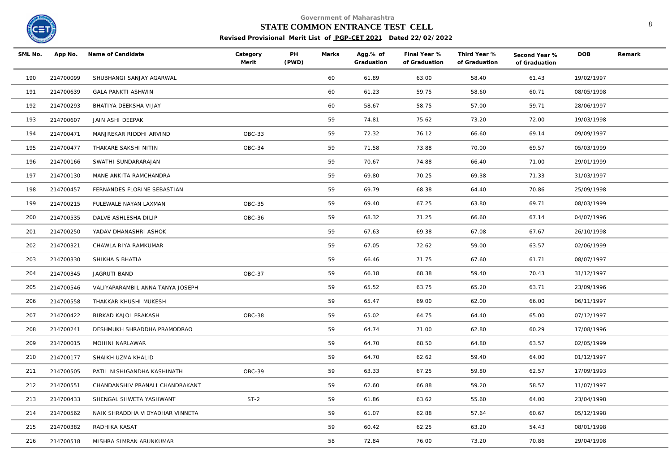

#### **STATE COMMON ENTRANCE TEST CELL** 8

| SML No. |           | App No. Name of Candidate        | Category<br>Merit | PH<br>(PWD) | Marks | Agg.% of<br>Graduation | Final Year %<br>of Graduation | Third Year %<br>of Graduation | Second Year %<br>of Graduation | <b>DOB</b> | Remark |
|---------|-----------|----------------------------------|-------------------|-------------|-------|------------------------|-------------------------------|-------------------------------|--------------------------------|------------|--------|
| 190     | 214700099 | SHUBHANGI SANJAY AGARWAL         |                   |             | 60    | 61.89                  | 63.00                         | 58.40                         | 61.43                          | 19/02/1997 |        |
| 191     | 214700639 | <b>GALA PANKTI ASHWIN</b>        |                   |             | 60    | 61.23                  | 59.75                         | 58.60                         | 60.71                          | 08/05/1998 |        |
| 192     | 214700293 | BHATIYA DEEKSHA VIJAY            |                   |             | 60    | 58.67                  | 58.75                         | 57.00                         | 59.71                          | 28/06/1997 |        |
| 193     | 214700607 | JAIN ASHI DEEPAK                 |                   |             | 59    | 74.81                  | 75.62                         | 73.20                         | 72.00                          | 19/03/1998 |        |
| 194     | 214700471 | MANJREKAR RIDDHI ARVIND          | OBC-33            |             | 59    | 72.32                  | 76.12                         | 66.60                         | 69.14                          | 09/09/1997 |        |
| 195     | 214700477 | THAKARE SAKSHI NITIN             | OBC-34            |             | 59    | 71.58                  | 73.88                         | 70.00                         | 69.57                          | 05/03/1999 |        |
| 196     | 214700166 | SWATHI SUNDARARAJAN              |                   |             | 59    | 70.67                  | 74.88                         | 66.40                         | 71.00                          | 29/01/1999 |        |
| 197     | 214700130 | MANE ANKITA RAMCHANDRA           |                   |             | 59    | 69.80                  | 70.25                         | 69.38                         | 71.33                          | 31/03/1997 |        |
| 198     | 214700457 | FERNANDES FLORINE SEBASTIAN      |                   |             | 59    | 69.79                  | 68.38                         | 64.40                         | 70.86                          | 25/09/1998 |        |
| 199     | 214700215 | FULEWALE NAYAN LAXMAN            | OBC-35            |             | 59    | 69.40                  | 67.25                         | 63.80                         | 69.71                          | 08/03/1999 |        |
| 200     | 214700535 | DALVE ASHLESHA DILIP             | OBC-36            |             | 59    | 68.32                  | 71.25                         | 66.60                         | 67.14                          | 04/07/1996 |        |
| 201     | 214700250 | YADAV DHANASHRI ASHOK            |                   |             | 59    | 67.63                  | 69.38                         | 67.08                         | 67.67                          | 26/10/1998 |        |
| 202     | 214700321 | CHAWLA RIYA RAMKUMAR             |                   |             | 59    | 67.05                  | 72.62                         | 59.00                         | 63.57                          | 02/06/1999 |        |
| 203     | 214700330 | SHIKHA S BHATIA                  |                   |             | 59    | 66.46                  | 71.75                         | 67.60                         | 61.71                          | 08/07/1997 |        |
| 204     | 214700345 | JAGRUTI BAND                     | OBC-37            |             | 59    | 66.18                  | 68.38                         | 59.40                         | 70.43                          | 31/12/1997 |        |
| 205     | 214700546 | VALIYAPARAMBIL ANNA TANYA JOSEPH |                   |             | 59    | 65.52                  | 63.75                         | 65.20                         | 63.71                          | 23/09/1996 |        |
| 206     | 214700558 | THAKKAR KHUSHI MUKESH            |                   |             | 59    | 65.47                  | 69.00                         | 62.00                         | 66.00                          | 06/11/1997 |        |
| 207     | 214700422 | BIRKAD KAJOL PRAKASH             | OBC-38            |             | 59    | 65.02                  | 64.75                         | 64.40                         | 65.00                          | 07/12/1997 |        |
| 208     | 214700241 | DESHMUKH SHRADDHA PRAMODRAO      |                   |             | 59    | 64.74                  | 71.00                         | 62.80                         | 60.29                          | 17/08/1996 |        |
| 209     | 214700015 | MOHINI NARLAWAR                  |                   |             | 59    | 64.70                  | 68.50                         | 64.80                         | 63.57                          | 02/05/1999 |        |
| 210     | 214700177 | SHAIKH UZMA KHALID               |                   |             | 59    | 64.70                  | 62.62                         | 59.40                         | 64.00                          | 01/12/1997 |        |
| 211     | 214700505 | PATIL NISHIGANDHA KASHINATH      | OBC-39            |             | 59    | 63.33                  | 67.25                         | 59.80                         | 62.57                          | 17/09/1993 |        |
| 212     | 214700551 | CHANDANSHIV PRANALI CHANDRAKANT  |                   |             | 59    | 62.60                  | 66.88                         | 59.20                         | 58.57                          | 11/07/1997 |        |
| 213     | 214700433 | SHENGAL SHWETA YASHWANT          | $ST-2$            |             | 59    | 61.86                  | 63.62                         | 55.60                         | 64.00                          | 23/04/1998 |        |
| 214     | 214700562 | NAIK SHRADDHA VIDYADHAR VINNETA  |                   |             | 59    | 61.07                  | 62.88                         | 57.64                         | 60.67                          | 05/12/1998 |        |
| 215     | 214700382 | RADHIKA KASAT                    |                   |             | 59    | 60.42                  | 62.25                         | 63.20                         | 54.43                          | 08/01/1998 |        |
| 216     | 214700518 | MISHRA SIMRAN ARUNKUMAR          |                   |             | 58    | 72.84                  | 76.00                         | 73.20                         | 70.86                          | 29/04/1998 |        |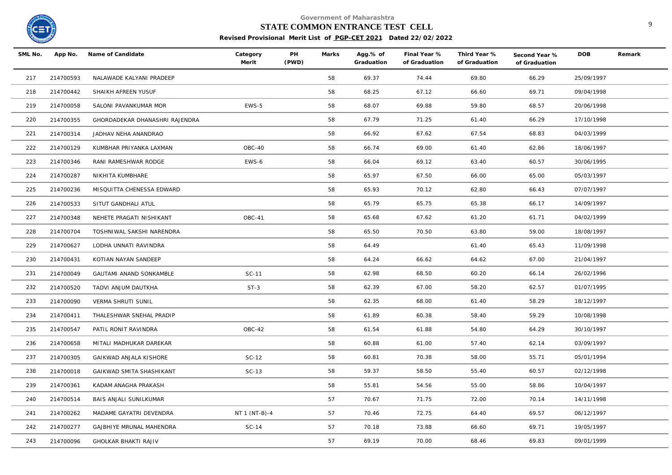

#### **STATE COMMON ENTRANCE TEST CELL** 9

| SML No. | App No.   | Name of Candidate              | Category<br>Merit | PH<br>(PWD) | Marks | Agg.% of<br>Graduation | Final Year %<br>of Graduation | Third Year %<br>of Graduation | Second Year %<br>of Graduation | <b>DOB</b> | Remark |
|---------|-----------|--------------------------------|-------------------|-------------|-------|------------------------|-------------------------------|-------------------------------|--------------------------------|------------|--------|
| 217     | 214700593 | NALAWADE KALYANI PRADEEP       |                   |             | 58    | 69.37                  | 74.44                         | 69.80                         | 66.29                          | 25/09/1997 |        |
| 218     | 214700442 | SHAIKH AFREEN YUSUF            |                   |             | 58    | 68.25                  | 67.12                         | 66.60                         | 69.71                          | 09/04/1998 |        |
| 219     | 214700058 | SALONI PAVANKUMAR MOR          | EWS-5             |             | 58    | 68.07                  | 69.88                         | 59.80                         | 68.57                          | 20/06/1998 |        |
| 220     | 214700355 | GHORDADEKAR DHANASHRI RAJENDRA |                   |             | 58    | 67.79                  | 71.25                         | 61.40                         | 66.29                          | 17/10/1998 |        |
| 221     | 214700314 | JADHAV NEHA ANANDRAO           |                   |             | 58    | 66.92                  | 67.62                         | 67.54                         | 68.83                          | 04/03/1999 |        |
| 222     | 214700129 | KUMBHAR PRIYANKA LAXMAN        | OBC-40            |             | 58    | 66.74                  | 69.00                         | 61.40                         | 62.86                          | 18/06/1997 |        |
| 223     | 214700346 | RANI RAMESHWAR RODGE           | EWS-6             |             | 58    | 66.04                  | 69.12                         | 63.40                         | 60.57                          | 30/06/1995 |        |
| 224     | 214700287 | NIKHITA KUMBHARE               |                   |             | 58    | 65.97                  | 67.50                         | 66.00                         | 65.00                          | 05/03/1997 |        |
| 225     | 214700236 | MISQUITTA CHENESSA EDWARD      |                   |             | 58    | 65.93                  | 70.12                         | 62.80                         | 66.43                          | 07/07/1997 |        |
| 226     | 214700533 | SITUT GANDHALI ATUL            |                   |             | 58    | 65.79                  | 65.75                         | 65.38                         | 66.17                          | 14/09/1997 |        |
| 227     | 214700348 | NEHETE PRAGATI NISHIKANT       | OBC-41            |             | 58    | 65.68                  | 67.62                         | 61.20                         | 61.71                          | 04/02/1999 |        |
| 228     | 214700704 | TOSHNIWAL SAKSHI NARENDRA      |                   |             | 58    | 65.50                  | 70.50                         | 63.80                         | 59.00                          | 18/08/1997 |        |
| 229     | 214700627 | LODHA UNNATI RAVINDRA          |                   |             | 58    | 64.49                  |                               | 61.40                         | 65.43                          | 11/09/1998 |        |
| 230     | 214700431 | KOTIAN NAYAN SANDEEP           |                   |             | 58    | 64.24                  | 66.62                         | 64.62                         | 67.00                          | 21/04/1997 |        |
| 231     | 214700049 | GAUTAMI ANAND SONKAMBLE        | SC-11             |             | 58    | 62.98                  | 68.50                         | 60.20                         | 66.14                          | 26/02/1996 |        |
| 232     | 214700520 | TADVI ANJUM DAUTKHA            | $ST-3$            |             | 58    | 62.39                  | 67.00                         | 58.20                         | 62.57                          | 01/07/1995 |        |
| 233     | 214700090 | VERMA SHRUTI SUNIL             |                   |             | 58    | 62.35                  | 68.00                         | 61.40                         | 58.29                          | 18/12/1997 |        |
| 234     | 214700411 | THALESHWAR SNEHAL PRADIP       |                   |             | 58    | 61.89                  | 60.38                         | 58.40                         | 59.29                          | 10/08/1998 |        |
| 235     | 214700547 | PATIL RONIT RAVINDRA           | OBC-42            |             | 58    | 61.54                  | 61.88                         | 54.80                         | 64.29                          | 30/10/1997 |        |
| 236     | 214700658 | MITALI MADHUKAR DAREKAR        |                   |             | 58    | 60.88                  | 61.00                         | 57.40                         | 62.14                          | 03/09/1997 |        |
| 237     | 214700305 | GAIKWAD ANJALA KISHORE         | SC-12             |             | 58    | 60.81                  | 70.38                         | 58.00                         | 55.71                          | 05/01/1994 |        |
| 238     | 214700018 | GAIKWAD SMITA SHASHIKANT       | $SC-13$           |             | 58    | 59.37                  | 58.50                         | 55.40                         | 60.57                          | 02/12/1998 |        |
| 239     | 214700361 | KADAM ANAGHA PRAKASH           |                   |             | 58    | 55.81                  | 54.56                         | 55.00                         | 58.86                          | 10/04/1997 |        |
| 240     | 214700514 | BAIS ANJALI SUNILKUMAR         |                   |             | 57    | 70.67                  | 71.75                         | 72.00                         | 70.14                          | 14/11/1998 |        |
| 241     | 214700262 | MADAME GAYATRI DEVENDRA        | NT 1 (NT-B)-4     |             | 57    | 70.46                  | 72.75                         | 64.40                         | 69.57                          | 06/12/1997 |        |
| 242     | 214700277 | GAJBHIYE MRUNAL MAHENDRA       | $SC-14$           |             | 57    | 70.18                  | 73.88                         | 66.60                         | 69.71                          | 19/05/1997 |        |
| 243     | 214700096 | <b>GHOLKAR BHAKTI RAJIV</b>    |                   |             | 57    | 69.19                  | 70.00                         | 68.46                         | 69.83                          | 09/01/1999 |        |
|         |           |                                |                   |             |       |                        |                               |                               |                                |            |        |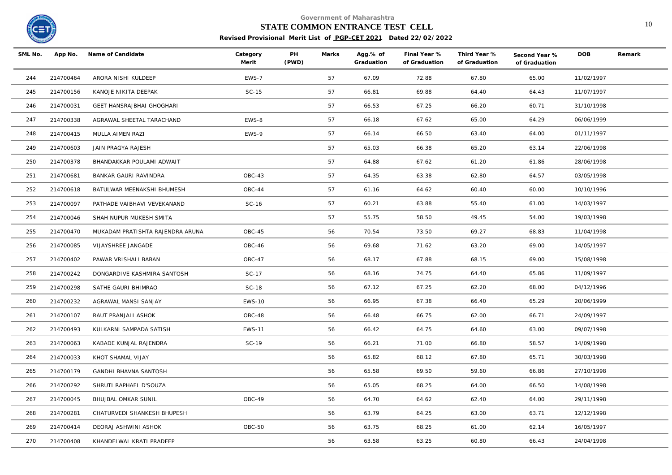

## **STATE COMMON ENTRANCE TEST CELL** 10

| SML No. |           | App No. Name of Candidate        | Category<br>Merit | PH<br>(PWD) | Marks | Agg.% of<br>Graduation | Final Year %<br>of Graduation | Third Year %<br>of Graduation | Second Year %<br>of Graduation | <b>DOB</b> | Remark |
|---------|-----------|----------------------------------|-------------------|-------------|-------|------------------------|-------------------------------|-------------------------------|--------------------------------|------------|--------|
| 244     | 214700464 | ARORA NISHI KULDEEP              | EWS-7             |             | 57    | 67.09                  | 72.88                         | 67.80                         | 65.00                          | 11/02/1997 |        |
| 245     | 214700156 | KANOJE NIKITA DEEPAK             | $SC-15$           |             | 57    | 66.81                  | 69.88                         | 64.40                         | 64.43                          | 11/07/1997 |        |
| 246     | 214700031 | GEET HANSRAJBHAI GHOGHARI        |                   |             | 57    | 66.53                  | 67.25                         | 66.20                         | 60.71                          | 31/10/1998 |        |
| 247     | 214700338 | AGRAWAL SHEETAL TARACHAND        | EWS-8             |             | 57    | 66.18                  | 67.62                         | 65.00                         | 64.29                          | 06/06/1999 |        |
| 248     | 214700415 | MULLA AIMEN RAZI                 | EWS-9             |             | 57    | 66.14                  | 66.50                         | 63.40                         | 64.00                          | 01/11/1997 |        |
| 249     | 214700603 | JAIN PRAGYA RAJESH               |                   |             | 57    | 65.03                  | 66.38                         | 65.20                         | 63.14                          | 22/06/1998 |        |
| 250     | 214700378 | BHANDAKKAR POULAMI ADWAIT        |                   |             | 57    | 64.88                  | 67.62                         | 61.20                         | 61.86                          | 28/06/1998 |        |
| 251     | 214700681 | BANKAR GAURI RAVINDRA            | OBC-43            |             | 57    | 64.35                  | 63.38                         | 62.80                         | 64.57                          | 03/05/1998 |        |
| 252     | 214700618 | BATULWAR MEENAKSHI BHUMESH       | OBC-44            |             | 57    | 61.16                  | 64.62                         | 60.40                         | 60.00                          | 10/10/1996 |        |
| 253     | 214700097 | PATHADE VAIBHAVI VEVEKANAND      | SC-16             |             | 57    | 60.21                  | 63.88                         | 55.40                         | 61.00                          | 14/03/1997 |        |
| 254     | 214700046 | SHAH NUPUR MUKESH SMITA          |                   |             | 57    | 55.75                  | 58.50                         | 49.45                         | 54.00                          | 19/03/1998 |        |
| 255     | 214700470 | MUKADAM PRATISHTA RAJENDRA ARUNA | OBC-45            |             | 56    | 70.54                  | 73.50                         | 69.27                         | 68.83                          | 11/04/1998 |        |
| 256     | 214700085 | VIJAYSHREE JANGADE               | OBC-46            |             | 56    | 69.68                  | 71.62                         | 63.20                         | 69.00                          | 14/05/1997 |        |
| 257     | 214700402 | PAWAR VRISHALI BABAN             | OBC-47            |             | 56    | 68.17                  | 67.88                         | 68.15                         | 69.00                          | 15/08/1998 |        |
| 258     | 214700242 | DONGARDIVE KASHMIRA SANTOSH      | SC-17             |             | 56    | 68.16                  | 74.75                         | 64.40                         | 65.86                          | 11/09/1997 |        |
| 259     | 214700298 | SATHE GAURI BHIMRAO              | SC-18             |             | 56    | 67.12                  | 67.25                         | 62.20                         | 68.00                          | 04/12/1996 |        |
| 260     | 214700232 | AGRAWAL MANSI SANJAY             | <b>EWS-10</b>     |             | 56    | 66.95                  | 67.38                         | 66.40                         | 65.29                          | 20/06/1999 |        |
| 261     | 214700107 | RAUT PRANJALI ASHOK              | OBC-48            |             | 56    | 66.48                  | 66.75                         | 62.00                         | 66.71                          | 24/09/1997 |        |
| 262     | 214700493 | KULKARNI SAMPADA SATISH          | <b>EWS-11</b>     |             | 56    | 66.42                  | 64.75                         | 64.60                         | 63.00                          | 09/07/1998 |        |
| 263     | 214700063 | KABADE KUNJAL RAJENDRA           | SC-19             |             | 56    | 66.21                  | 71.00                         | 66.80                         | 58.57                          | 14/09/1998 |        |
| 264     | 214700033 | KHOT SHAMAL VIJAY                |                   |             | 56    | 65.82                  | 68.12                         | 67.80                         | 65.71                          | 30/03/1998 |        |
| 265     | 214700179 | GANDHI BHAVNA SANTOSH            |                   |             | 56    | 65.58                  | 69.50                         | 59.60                         | 66.86                          | 27/10/1998 |        |
| 266     | 214700292 | SHRUTI RAPHAEL D'SOUZA           |                   |             | 56    | 65.05                  | 68.25                         | 64.00                         | 66.50                          | 14/08/1998 |        |
| 267     | 214700045 | BHUJBAL OMKAR SUNIL              | OBC-49            |             | 56    | 64.70                  | 64.62                         | 62.40                         | 64.00                          | 29/11/1998 |        |
| 268     | 214700281 | CHATURVEDI SHANKESH BHUPESH      |                   |             | 56    | 63.79                  | 64.25                         | 63.00                         | 63.71                          | 12/12/1998 |        |
| 269     | 214700414 | DEORAJ ASHWINI ASHOK             | OBC-50            |             | 56    | 63.75                  | 68.25                         | 61.00                         | 62.14                          | 16/05/1997 |        |
| 270     | 214700408 | KHANDELWAL KRATI PRADEEP         |                   |             | 56    | 63.58                  | 63.25                         | 60.80                         | 66.43                          | 24/04/1998 |        |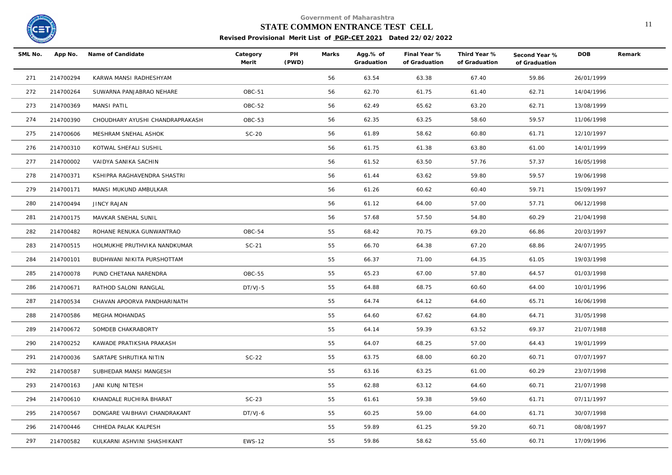

# **STATE COMMON ENTRANCE TEST CELL** 11

| SML No. |           | App No. Name of Candidate       | Category<br>Merit | PH<br>(PWD) | Marks | Agg.% of<br>Graduation | Final Year %<br>of Graduation | Third Year %<br>of Graduation | Second Year %<br>of Graduation | DOB        | Remark |
|---------|-----------|---------------------------------|-------------------|-------------|-------|------------------------|-------------------------------|-------------------------------|--------------------------------|------------|--------|
| 271     | 214700294 | KARWA MANSI RADHESHYAM          |                   |             | 56    | 63.54                  | 63.38                         | 67.40                         | 59.86                          | 26/01/1999 |        |
| 272     | 214700264 | SUWARNA PANJABRAO NEHARE        | OBC-51            |             | 56    | 62.70                  | 61.75                         | 61.40                         | 62.71                          | 14/04/1996 |        |
| 273     | 214700369 | MANSI PATIL                     | OBC-52            |             | 56    | 62.49                  | 65.62                         | 63.20                         | 62.71                          | 13/08/1999 |        |
| 274     | 214700390 | CHOUDHARY AYUSHI CHANDRAPRAKASH | OBC-53            |             | 56    | 62.35                  | 63.25                         | 58.60                         | 59.57                          | 11/06/1998 |        |
| 275     | 214700606 | MESHRAM SNEHAL ASHOK            | $SC-20$           |             | 56    | 61.89                  | 58.62                         | 60.80                         | 61.71                          | 12/10/1997 |        |
| 276     | 214700310 | KOTWAL SHEFALI SUSHIL           |                   |             | 56    | 61.75                  | 61.38                         | 63.80                         | 61.00                          | 14/01/1999 |        |
| 277     | 214700002 | VAIDYA SANIKA SACHIN            |                   |             | 56    | 61.52                  | 63.50                         | 57.76                         | 57.37                          | 16/05/1998 |        |
| 278     | 214700371 | KSHIPRA RAGHAVENDRA SHASTRI     |                   |             | 56    | 61.44                  | 63.62                         | 59.80                         | 59.57                          | 19/06/1998 |        |
| 279     | 214700171 | MANSI MUKUND AMBULKAR           |                   |             | 56    | 61.26                  | 60.62                         | 60.40                         | 59.71                          | 15/09/1997 |        |
| 280     | 214700494 | <b>JINCY RAJAN</b>              |                   |             | 56    | 61.12                  | 64.00                         | 57.00                         | 57.71                          | 06/12/1998 |        |
| 281     | 214700175 | MAVKAR SNEHAL SUNIL             |                   |             | 56    | 57.68                  | 57.50                         | 54.80                         | 60.29                          | 21/04/1998 |        |
| 282     | 214700482 | ROHANE RENUKA GUNWANTRAO        | OBC-54            |             | 55    | 68.42                  | 70.75                         | 69.20                         | 66.86                          | 20/03/1997 |        |
| 283     | 214700515 | HOLMUKHE PRUTHVIKA NANDKUMAR    | $SC-21$           |             | 55    | 66.70                  | 64.38                         | 67.20                         | 68.86                          | 24/07/1995 |        |
| 284     | 214700101 | BUDHWANI NIKITA PURSHOTTAM      |                   |             | 55    | 66.37                  | 71.00                         | 64.35                         | 61.05                          | 19/03/1998 |        |
| 285     | 214700078 | PUND CHETANA NARENDRA           | <b>OBC-55</b>     |             | 55    | 65.23                  | 67.00                         | 57.80                         | 64.57                          | 01/03/1998 |        |
| 286     | 214700671 | RATHOD SALONI RANGLAL           | DT/VJ-5           |             | 55    | 64.88                  | 68.75                         | 60.60                         | 64.00                          | 10/01/1996 |        |
| 287     | 214700534 | CHAVAN APOORVA PANDHARINATH     |                   |             | 55    | 64.74                  | 64.12                         | 64.60                         | 65.71                          | 16/06/1998 |        |
| 288     | 214700586 | MEGHA MOHANDAS                  |                   |             | 55    | 64.60                  | 67.62                         | 64.80                         | 64.71                          | 31/05/1998 |        |
| 289     | 214700672 | SOMDEB CHAKRABORTY              |                   |             | 55    | 64.14                  | 59.39                         | 63.52                         | 69.37                          | 21/07/1988 |        |
| 290     | 214700252 | KAWADE PRATIKSHA PRAKASH        |                   |             | 55    | 64.07                  | 68.25                         | 57.00                         | 64.43                          | 19/01/1999 |        |
| 291     | 214700036 | SARTAPE SHRUTIKA NITIN          | $SC-22$           |             | 55    | 63.75                  | 68.00                         | 60.20                         | 60.71                          | 07/07/1997 |        |
| 292     | 214700587 | SUBHEDAR MANSI MANGESH          |                   |             | 55    | 63.16                  | 63.25                         | 61.00                         | 60.29                          | 23/07/1998 |        |
| 293     | 214700163 | JANI KUNJ NITESH                |                   |             | 55    | 62.88                  | 63.12                         | 64.60                         | 60.71                          | 21/07/1998 |        |
| 294     | 214700610 | KHANDALE RUCHIRA BHARAT         | $SC-23$           |             | 55    | 61.61                  | 59.38                         | 59.60                         | 61.71                          | 07/11/1997 |        |
| 295     | 214700567 | DONGARE VAIBHAVI CHANDRAKANT    | DT/VJ-6           |             | 55    | 60.25                  | 59.00                         | 64.00                         | 61.71                          | 30/07/1998 |        |
| 296     | 214700446 | CHHEDA PALAK KALPESH            |                   |             | 55    | 59.89                  | 61.25                         | 59.20                         | 60.71                          | 08/08/1997 |        |
| 297     | 214700582 | KULKARNI ASHVINI SHASHIKANT     | <b>EWS-12</b>     |             | 55    | 59.86                  | 58.62                         | 55.60                         | 60.71                          | 17/09/1996 |        |
|         |           |                                 |                   |             |       |                        |                               |                               |                                |            |        |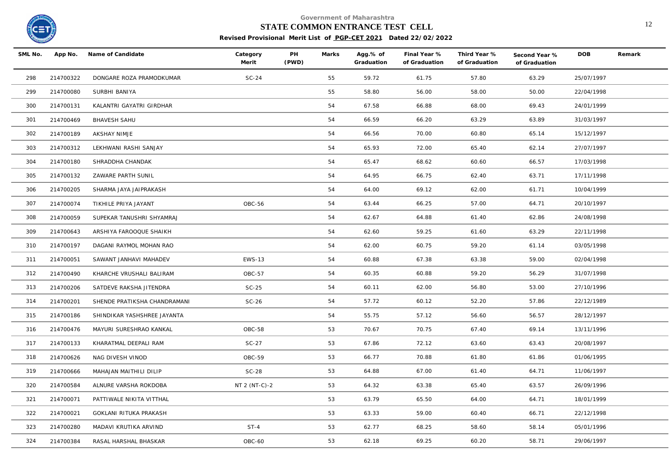

# **STATE COMMON ENTRANCE TEST CELL** 12

| SML No. | App No.   | Name of Candidate            | Category<br>Merit | PH<br>(PWD) | Marks | Agg.% of<br>Graduation | Final Year %<br>of Graduation | Third Year %<br>of Graduation | Second Year %<br>of Graduation | <b>DOB</b> | Remark |
|---------|-----------|------------------------------|-------------------|-------------|-------|------------------------|-------------------------------|-------------------------------|--------------------------------|------------|--------|
| 298     | 214700322 | DONGARE ROZA PRAMODKUMAR     | $SC-24$           |             | 55    | 59.72                  | 61.75                         | 57.80                         | 63.29                          | 25/07/1997 |        |
| 299     | 214700080 | SURBHI BANIYA                |                   |             | 55    | 58.80                  | 56.00                         | 58.00                         | 50.00                          | 22/04/1998 |        |
| 300     | 214700131 | KALANTRI GAYATRI GIRDHAR     |                   |             | 54    | 67.58                  | 66.88                         | 68.00                         | 69.43                          | 24/01/1999 |        |
| 301     | 214700469 | <b>BHAVESH SAHU</b>          |                   |             | 54    | 66.59                  | 66.20                         | 63.29                         | 63.89                          | 31/03/1997 |        |
| 302     | 214700189 | AKSHAY NIMJE                 |                   |             | 54    | 66.56                  | 70.00                         | 60.80                         | 65.14                          | 15/12/1997 |        |
| 303     | 214700312 | LEKHWANI RASHI SANJAY        |                   |             | 54    | 65.93                  | 72.00                         | 65.40                         | 62.14                          | 27/07/1997 |        |
| 304     | 214700180 | SHRADDHA CHANDAK             |                   |             | 54    | 65.47                  | 68.62                         | 60.60                         | 66.57                          | 17/03/1998 |        |
| 305     | 214700132 | ZAWARE PARTH SUNIL           |                   |             | 54    | 64.95                  | 66.75                         | 62.40                         | 63.71                          | 17/11/1998 |        |
| 306     | 214700205 | SHARMA JAYA JAIPRAKASH       |                   |             | 54    | 64.00                  | 69.12                         | 62.00                         | 61.71                          | 10/04/1999 |        |
| 307     | 214700074 | TIKHILE PRIYA JAYANT         | OBC-56            |             | 54    | 63.44                  | 66.25                         | 57.00                         | 64.71                          | 20/10/1997 |        |
| 308     | 214700059 | SUPEKAR TANUSHRI SHYAMRAJ    |                   |             | 54    | 62.67                  | 64.88                         | 61.40                         | 62.86                          | 24/08/1998 |        |
| 309     | 214700643 | ARSHIYA FAROOQUE SHAIKH      |                   |             | 54    | 62.60                  | 59.25                         | 61.60                         | 63.29                          | 22/11/1998 |        |
| 310     | 214700197 | DAGANI RAYMOL MOHAN RAO      |                   |             | 54    | 62.00                  | 60.75                         | 59.20                         | 61.14                          | 03/05/1998 |        |
| 311     | 214700051 | SAWANT JANHAVI MAHADEV       | <b>EWS-13</b>     |             | 54    | 60.88                  | 67.38                         | 63.38                         | 59.00                          | 02/04/1998 |        |
| 312     | 214700490 | KHARCHE VRUSHALI BALIRAM     | OBC-57            |             | 54    | 60.35                  | 60.88                         | 59.20                         | 56.29                          | 31/07/1998 |        |
| 313     | 214700206 | SATDEVE RAKSHA JITENDRA      | $SC-25$           |             | 54    | 60.11                  | 62.00                         | 56.80                         | 53.00                          | 27/10/1996 |        |
| 314     | 214700201 | SHENDE PRATIKSHA CHANDRAMANI | $SC-26$           |             | 54    | 57.72                  | 60.12                         | 52.20                         | 57.86                          | 22/12/1989 |        |
| 315     | 214700186 | SHINDIKAR YASHSHREE JAYANTA  |                   |             | 54    | 55.75                  | 57.12                         | 56.60                         | 56.57                          | 28/12/1997 |        |
| 316     | 214700476 | MAYURI SURESHRAO KANKAL      | OBC-58            |             | 53    | 70.67                  | 70.75                         | 67.40                         | 69.14                          | 13/11/1996 |        |
| 317     | 214700133 | KHARATMAL DEEPALI RAM        | $SC-27$           |             | 53    | 67.86                  | 72.12                         | 63.60                         | 63.43                          | 20/08/1997 |        |
| 318     | 214700626 | NAG DIVESH VINOD             | OBC-59            |             | 53    | 66.77                  | 70.88                         | 61.80                         | 61.86                          | 01/06/1995 |        |
| 319     | 214700666 | MAHAJAN MAITHILI DILIP       | $SC-28$           |             | 53    | 64.88                  | 67.00                         | 61.40                         | 64.71                          | 11/06/1997 |        |
| 320     | 214700584 | ALNURE VARSHA ROKDOBA        | NT 2 (NT-C)-2     |             | 53    | 64.32                  | 63.38                         | 65.40                         | 63.57                          | 26/09/1996 |        |
| 321     | 214700071 | PATTIWALE NIKITA VITTHAL     |                   |             | 53    | 63.79                  | 65.50                         | 64.00                         | 64.71                          | 18/01/1999 |        |
| 322     | 214700021 | GOKLANI RITUKA PRAKASH       |                   |             | 53    | 63.33                  | 59.00                         | 60.40                         | 66.71                          | 22/12/1998 |        |
| 323     | 214700280 | MADAVI KRUTIKA ARVIND        | $ST-4$            |             | 53    | 62.77                  | 68.25                         | 58.60                         | 58.14                          | 05/01/1996 |        |
| 324     | 214700384 | RASAL HARSHAL BHASKAR        | OBC-60            |             | 53    | 62.18                  | 69.25                         | 60.20                         | 58.71                          | 29/06/1997 |        |
|         |           |                              |                   |             |       |                        |                               |                               |                                |            |        |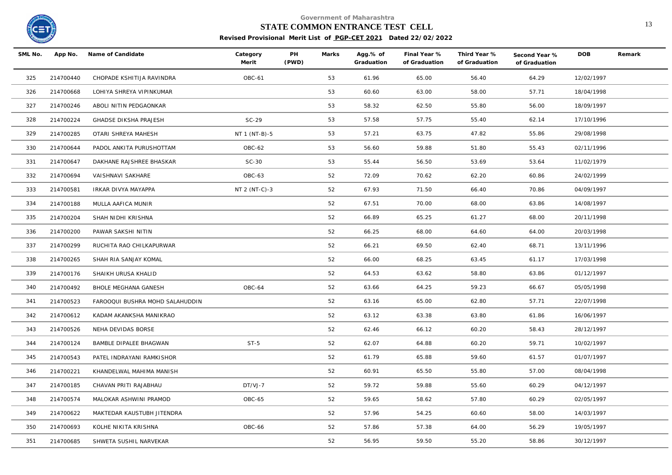

# **STATE COMMON ENTRANCE TEST CELL** 13

| SML No. | App No.   | Name of Candidate               | Category<br>Merit | PH<br>(PWD) | Marks | Agg.% of<br>Graduation | Final Year %<br>of Graduation | Third Year %<br>of Graduation | Second Year %<br>of Graduation | <b>DOB</b> | Remark |
|---------|-----------|---------------------------------|-------------------|-------------|-------|------------------------|-------------------------------|-------------------------------|--------------------------------|------------|--------|
| 325     | 214700440 | CHOPADE KSHITIJA RAVINDRA       | <b>OBC-61</b>     |             | 53    | 61.96                  | 65.00                         | 56.40                         | 64.29                          | 12/02/1997 |        |
| 326     | 214700668 | LOHIYA SHREYA VIPINKUMAR        |                   |             | 53    | 60.60                  | 63.00                         | 58.00                         | 57.71                          | 18/04/1998 |        |
| 327     | 214700246 | ABOLI NITIN PEDGAONKAR          |                   |             | 53    | 58.32                  | 62.50                         | 55.80                         | 56.00                          | 18/09/1997 |        |
| 328     | 214700224 | <b>GHADSE DIKSHA PRAJESH</b>    | $SC-29$           |             | 53    | 57.58                  | 57.75                         | 55.40                         | 62.14                          | 17/10/1996 |        |
| 329     | 214700285 | OTARI SHREYA MAHESH             | NT 1 (NT-B)-5     |             | 53    | 57.21                  | 63.75                         | 47.82                         | 55.86                          | 29/08/1998 |        |
| 330     | 214700644 | PADOL ANKITA PURUSHOTTAM        | OBC-62            |             | 53    | 56.60                  | 59.88                         | 51.80                         | 55.43                          | 02/11/1996 |        |
| 331     | 214700647 | DAKHANE RAJSHREE BHASKAR        | $SC-30$           |             | 53    | 55.44                  | 56.50                         | 53.69                         | 53.64                          | 11/02/1979 |        |
| 332     | 214700694 | VAISHNAVI SAKHARE               | OBC-63            |             | 52    | 72.09                  | 70.62                         | 62.20                         | 60.86                          | 24/02/1999 |        |
| 333     | 214700581 | IRKAR DIVYA MAYAPPA             | NT 2 (NT-C)-3     |             | 52    | 67.93                  | 71.50                         | 66.40                         | 70.86                          | 04/09/1997 |        |
| 334     | 214700188 | MULLA AAFICA MUNIR              |                   |             | 52    | 67.51                  | 70.00                         | 68.00                         | 63.86                          | 14/08/1997 |        |
| 335     | 214700204 | SHAH NIDHI KRISHNA              |                   |             | 52    | 66.89                  | 65.25                         | 61.27                         | 68.00                          | 20/11/1998 |        |
| 336     | 214700200 | PAWAR SAKSHI NITIN              |                   |             | 52    | 66.25                  | 68.00                         | 64.60                         | 64.00                          | 20/03/1998 |        |
| 337     | 214700299 | RUCHITA RAO CHILKAPURWAR        |                   |             | 52    | 66.21                  | 69.50                         | 62.40                         | 68.71                          | 13/11/1996 |        |
| 338     | 214700265 | SHAH RIA SANJAY KOMAL           |                   |             | 52    | 66.00                  | 68.25                         | 63.45                         | 61.17                          | 17/03/1998 |        |
| 339     | 214700176 | SHAIKH URUSA KHALID             |                   |             | 52    | 64.53                  | 63.62                         | 58.80                         | 63.86                          | 01/12/1997 |        |
| 340     | 214700492 | BHOLE MEGHANA GANESH            | OBC-64            |             | 52    | 63.66                  | 64.25                         | 59.23                         | 66.67                          | 05/05/1998 |        |
| 341     | 214700523 | FAROOQUI BUSHRA MOHD SALAHUDDIN |                   |             | 52    | 63.16                  | 65.00                         | 62.80                         | 57.71                          | 22/07/1998 |        |
| 342     | 214700612 | KADAM AKANKSHA MANIKRAO         |                   |             | 52    | 63.12                  | 63.38                         | 63.80                         | 61.86                          | 16/06/1997 |        |
| 343     | 214700526 | NEHA DEVIDAS BORSE              |                   |             | 52    | 62.46                  | 66.12                         | 60.20                         | 58.43                          | 28/12/1997 |        |
| 344     | 214700124 | BAMBLE DIPALEE BHAGWAN          | $ST-5$            |             | 52    | 62.07                  | 64.88                         | 60.20                         | 59.71                          | 10/02/1997 |        |
| 345     | 214700543 | PATEL INDRAYANI RAMKISHOR       |                   |             | 52    | 61.79                  | 65.88                         | 59.60                         | 61.57                          | 01/07/1997 |        |
| 346     | 214700221 | KHANDELWAL MAHIMA MANISH        |                   |             | 52    | 60.91                  | 65.50                         | 55.80                         | 57.00                          | 08/04/1998 |        |
| 347     | 214700185 | CHAVAN PRITI RAJABHAU           | DT/VJ-7           |             | 52    | 59.72                  | 59.88                         | 55.60                         | 60.29                          | 04/12/1997 |        |
| 348     | 214700574 | MALOKAR ASHWINI PRAMOD          | OBC-65            |             | 52    | 59.65                  | 58.62                         | 57.80                         | 60.29                          | 02/05/1997 |        |
| 349     | 214700622 | MAKTEDAR KAUSTUBH JITENDRA      |                   |             | 52    | 57.96                  | 54.25                         | 60.60                         | 58.00                          | 14/03/1997 |        |
| 350     | 214700693 | KOLHE NIKITA KRISHNA            | OBC-66            |             | 52    | 57.86                  | 57.38                         | 64.00                         | 56.29                          | 19/05/1997 |        |
| 351     | 214700685 | SHWETA SUSHIL NARVEKAR          |                   |             | 52    | 56.95                  | 59.50                         | 55.20                         | 58.86                          | 30/12/1997 |        |
|         |           |                                 |                   |             |       |                        |                               |                               |                                |            |        |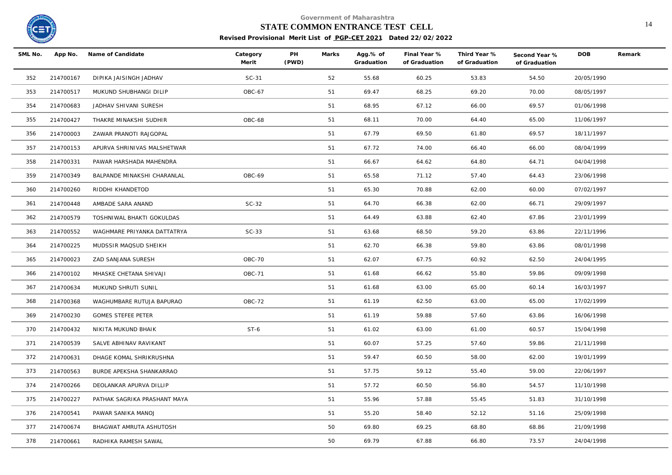

## **STATE COMMON ENTRANCE TEST CELL** 14

| SML No. | App No.   | Name of Candidate            | Category<br>Merit | PH<br>(PWD) | Marks | Agg.% of<br>Graduation | Final Year %<br>of Graduation | Third Year %<br>of Graduation | Second Year %<br>of Graduation | <b>DOB</b> | Remark |
|---------|-----------|------------------------------|-------------------|-------------|-------|------------------------|-------------------------------|-------------------------------|--------------------------------|------------|--------|
| 352     | 214700167 | DIPIKA JAISINGH JADHAV       | $SC-31$           |             | 52    | 55.68                  | 60.25                         | 53.83                         | 54.50                          | 20/05/1990 |        |
| 353     | 214700517 | MUKUND SHUBHANGI DILIP       | OBC-67            |             | 51    | 69.47                  | 68.25                         | 69.20                         | 70.00                          | 08/05/1997 |        |
| 354     | 214700683 | JADHAV SHIVANI SURESH        |                   |             | 51    | 68.95                  | 67.12                         | 66.00                         | 69.57                          | 01/06/1998 |        |
| 355     | 214700427 | THAKRE MINAKSHI SUDHIR       | OBC-68            |             | 51    | 68.11                  | 70.00                         | 64.40                         | 65.00                          | 11/06/1997 |        |
| 356     | 214700003 | ZAWAR PRANOTI RAJGOPAL       |                   |             | 51    | 67.79                  | 69.50                         | 61.80                         | 69.57                          | 18/11/1997 |        |
| 357     | 214700153 | APURVA SHRINIVAS MALSHETWAR  |                   |             | 51    | 67.72                  | 74.00                         | 66.40                         | 66.00                          | 08/04/1999 |        |
| 358     | 214700331 | PAWAR HARSHADA MAHENDRA      |                   |             | 51    | 66.67                  | 64.62                         | 64.80                         | 64.71                          | 04/04/1998 |        |
| 359     | 214700349 | BALPANDE MINAKSHI CHARANLAL  | OBC-69            |             | 51    | 65.58                  | 71.12                         | 57.40                         | 64.43                          | 23/06/1998 |        |
| 360     | 214700260 | RIDDHI KHANDETOD             |                   |             | 51    | 65.30                  | 70.88                         | 62.00                         | 60.00                          | 07/02/1997 |        |
| 361     | 214700448 | AMBADE SARA ANAND            | $SC-32$           |             | 51    | 64.70                  | 66.38                         | 62.00                         | 66.71                          | 29/09/1997 |        |
| 362     | 214700579 | TOSHNIWAL BHAKTI GOKULDAS    |                   |             | 51    | 64.49                  | 63.88                         | 62.40                         | 67.86                          | 23/01/1999 |        |
| 363     | 214700552 | WAGHMARE PRIYANKA DATTATRYA  | $SC-33$           |             | 51    | 63.68                  | 68.50                         | 59.20                         | 63.86                          | 22/11/1996 |        |
| 364     | 214700225 | MUDSSIR MAQSUD SHEIKH        |                   |             | 51    | 62.70                  | 66.38                         | 59.80                         | 63.86                          | 08/01/1998 |        |
| 365     | 214700023 | ZAD SANJANA SURESH           | OBC-70            |             | 51    | 62.07                  | 67.75                         | 60.92                         | 62.50                          | 24/04/1995 |        |
| 366     | 214700102 | MHASKE CHETANA SHIVAJI       | <b>OBC-71</b>     |             | 51    | 61.68                  | 66.62                         | 55.80                         | 59.86                          | 09/09/1998 |        |
| 367     | 214700634 | MUKUND SHRUTI SUNIL          |                   |             | 51    | 61.68                  | 63.00                         | 65.00                         | 60.14                          | 16/03/1997 |        |
| 368     | 214700368 | WAGHUMBARE RUTUJA BAPURAO    | OBC-72            |             | 51    | 61.19                  | 62.50                         | 63.00                         | 65.00                          | 17/02/1999 |        |
| 369     | 214700230 | <b>GOMES STEFEE PETER</b>    |                   |             | 51    | 61.19                  | 59.88                         | 57.60                         | 63.86                          | 16/06/1998 |        |
| 370     | 214700432 | NIKITA MUKUND BHAIK          | $ST-6$            |             | 51    | 61.02                  | 63.00                         | 61.00                         | 60.57                          | 15/04/1998 |        |
| 371     | 214700539 | SALVE ABHINAV RAVIKANT       |                   |             | 51    | 60.07                  | 57.25                         | 57.60                         | 59.86                          | 21/11/1998 |        |
| 372     | 214700631 | DHAGE KOMAL SHRIKRUSHNA      |                   |             | 51    | 59.47                  | 60.50                         | 58.00                         | 62.00                          | 19/01/1999 |        |
| 373     | 214700563 | BURDE APEKSHA SHANKARRAO     |                   |             | 51    | 57.75                  | 59.12                         | 55.40                         | 59.00                          | 22/06/1997 |        |
| 374     | 214700266 | DEOLANKAR APURVA DILLIP      |                   |             | 51    | 57.72                  | 60.50                         | 56.80                         | 54.57                          | 11/10/1998 |        |
| 375     | 214700227 | PATHAK SAGRIKA PRASHANT MAYA |                   |             | 51    | 55.96                  | 57.88                         | 55.45                         | 51.83                          | 31/10/1998 |        |
| 376     | 214700541 | PAWAR SANIKA MANOJ           |                   |             | 51    | 55.20                  | 58.40                         | 52.12                         | 51.16                          | 25/09/1998 |        |
| 377     | 214700674 | BHAGWAT AMRUTA ASHUTOSH      |                   |             | 50    | 69.80                  | 69.25                         | 68.80                         | 68.86                          | 21/09/1998 |        |
| 378     | 214700661 | RADHIKA RAMESH SAWAL         |                   |             | 50    | 69.79                  | 67.88                         | 66.80                         | 73.57                          | 24/04/1998 |        |
|         |           |                              |                   |             |       |                        |                               |                               |                                |            |        |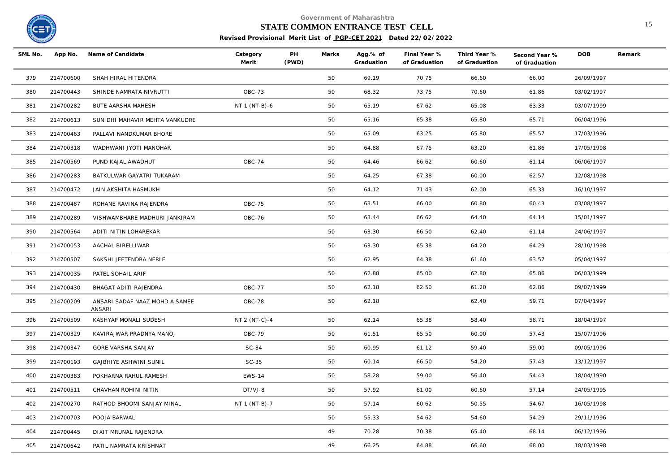

# **STATE COMMON ENTRANCE TEST CELL** 15

| SML No. | App No.   | Name of Candidate                        | Category<br>Merit | PH<br>(PWD) | Marks | Agg.% of<br>Graduation | Final Year %<br>of Graduation | Third Year %<br>of Graduation | Second Year %<br>of Graduation | <b>DOB</b> | Remark |
|---------|-----------|------------------------------------------|-------------------|-------------|-------|------------------------|-------------------------------|-------------------------------|--------------------------------|------------|--------|
| 379     | 214700600 | SHAH HIRAL HITENDRA                      |                   |             | 50    | 69.19                  | 70.75                         | 66.60                         | 66.00                          | 26/09/1997 |        |
| 380     | 214700443 | SHINDE NAMRATA NIVRUTTI                  | OBC-73            |             | 50    | 68.32                  | 73.75                         | 70.60                         | 61.86                          | 03/02/1997 |        |
| 381     | 214700282 | <b>BUTE AARSHA MAHESH</b>                | NT 1 (NT-B)-6     |             | 50    | 65.19                  | 67.62                         | 65.08                         | 63.33                          | 03/07/1999 |        |
| 382     | 214700613 | SUNIDHI MAHAVIR MEHTA VANKUDRE           |                   |             | 50    | 65.16                  | 65.38                         | 65.80                         | 65.71                          | 06/04/1996 |        |
| 383     | 214700463 | PALLAVI NANDKUMAR BHORE                  |                   |             | 50    | 65.09                  | 63.25                         | 65.80                         | 65.57                          | 17/03/1996 |        |
| 384     | 214700318 | WADHWANI JYOTI MANOHAR                   |                   |             | 50    | 64.88                  | 67.75                         | 63.20                         | 61.86                          | 17/05/1998 |        |
| 385     | 214700569 | PUND KAJAL AWADHUT                       | OBC-74            |             | 50    | 64.46                  | 66.62                         | 60.60                         | 61.14                          | 06/06/1997 |        |
| 386     | 214700283 | BATKULWAR GAYATRI TUKARAM                |                   |             | 50    | 64.25                  | 67.38                         | 60.00                         | 62.57                          | 12/08/1998 |        |
| 387     | 214700472 | JAIN AKSHITA HASMUKH                     |                   |             | 50    | 64.12                  | 71.43                         | 62.00                         | 65.33                          | 16/10/1997 |        |
| 388     | 214700487 | ROHANE RAVINA RAJENDRA                   | OBC-75            |             | 50    | 63.51                  | 66.00                         | 60.80                         | 60.43                          | 03/08/1997 |        |
| 389     | 214700289 | VISHWAMBHARE MADHURI JANKIRAM            | OBC-76            |             | 50    | 63.44                  | 66.62                         | 64.40                         | 64.14                          | 15/01/1997 |        |
| 390     | 214700564 | ADITI NITIN LOHAREKAR                    |                   |             | 50    | 63.30                  | 66.50                         | 62.40                         | 61.14                          | 24/06/1997 |        |
| 391     | 214700053 | AACHAL BIRELLIWAR                        |                   |             | 50    | 63.30                  | 65.38                         | 64.20                         | 64.29                          | 28/10/1998 |        |
| 392     | 214700507 | SAKSHI JEETENDRA NERLE                   |                   |             | 50    | 62.95                  | 64.38                         | 61.60                         | 63.57                          | 05/04/1997 |        |
| 393     | 214700035 | PATEL SOHAIL ARIF                        |                   |             | 50    | 62.88                  | 65.00                         | 62.80                         | 65.86                          | 06/03/1999 |        |
| 394     | 214700430 | BHAGAT ADITI RAJENDRA                    | OBC-77            |             | 50    | 62.18                  | 62.50                         | 61.20                         | 62.86                          | 09/07/1999 |        |
| 395     | 214700209 | ANSARI SADAF NAAZ MOHD A SAMEE<br>ANSARI | OBC-78            |             | 50    | 62.18                  |                               | 62.40                         | 59.71                          | 07/04/1997 |        |
| 396     | 214700509 | KASHYAP MONALI SUDESH                    | NT 2 (NT-C)-4     |             | 50    | 62.14                  | 65.38                         | 58.40                         | 58.71                          | 18/04/1997 |        |
| 397     | 214700329 | KAVIRAJWAR PRADNYA MANOJ                 | OBC-79            |             | 50    | 61.51                  | 65.50                         | 60.00                         | 57.43                          | 15/07/1996 |        |
| 398     | 214700347 | GORE VARSHA SANJAY                       | $SC-34$           |             | 50    | 60.95                  | 61.12                         | 59.40                         | 59.00                          | 09/05/1996 |        |
| 399     | 214700193 | GAJBHIYE ASHWINI SUNIL                   | $SC-35$           |             | 50    | 60.14                  | 66.50                         | 54.20                         | 57.43                          | 13/12/1997 |        |
| 400     | 214700383 | POKHARNA RAHUL RAMESH                    | <b>EWS-14</b>     |             | 50    | 58.28                  | 59.00                         | 56.40                         | 54.43                          | 18/04/1990 |        |
| 401     | 214700511 | CHAVHAN ROHINI NITIN                     | DT/VJ-8           |             | 50    | 57.92                  | 61.00                         | 60.60                         | 57.14                          | 24/05/1995 |        |
| 402     | 214700270 | RATHOD BHOOMI SANJAY MINAL               | NT 1 (NT-B)-7     |             | 50    | 57.14                  | 60.62                         | 50.55                         | 54.67                          | 16/05/1998 |        |
| 403     | 214700703 | POOJA BARWAL                             |                   |             | 50    | 55.33                  | 54.62                         | 54.60                         | 54.29                          | 29/11/1996 |        |
| 404     | 214700445 | DIXIT MRUNAL RAJENDRA                    |                   |             | 49    | 70.28                  | 70.38                         | 65.40                         | 68.14                          | 06/12/1996 |        |
| 405     | 214700642 | PATIL NAMRATA KRISHNAT                   |                   |             | 49    | 66.25                  | 64.88                         | 66.60                         | 68.00                          | 18/03/1998 |        |
|         |           |                                          |                   |             |       |                        |                               |                               |                                |            |        |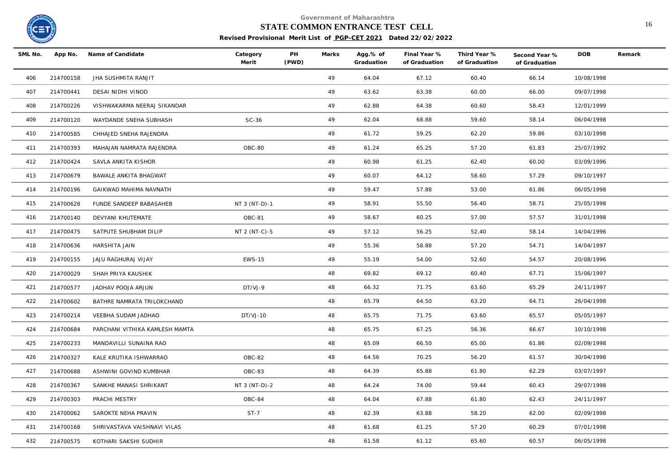

# **STATE COMMON ENTRANCE TEST CELL** 16

| SML No. | App No.   | Name of Candidate              | Category<br>Merit | PH<br>(PWD) | Marks | Agg.% of<br>Graduation | Final Year %<br>of Graduation | Third Year %<br>of Graduation | Second Year %<br>of Graduation | <b>DOB</b> | Remark |
|---------|-----------|--------------------------------|-------------------|-------------|-------|------------------------|-------------------------------|-------------------------------|--------------------------------|------------|--------|
| 406     | 214700158 | JHA SUSHMITA RANJIT            |                   |             | 49    | 64.04                  | 67.12                         | 60.40                         | 66.14                          | 10/08/1998 |        |
| 407     | 214700441 | DESAI NIDHI VINOD              |                   |             | 49    | 63.62                  | 63.38                         | 60.00                         | 66.00                          | 09/07/1998 |        |
| 408     | 214700226 | VISHWAKARMA NEERAJ SIKANDAR    |                   |             | 49    | 62.88                  | 64.38                         | 60.60                         | 58.43                          | 12/01/1999 |        |
| 409     | 214700120 | WAYDANDE SNEHA SUBHASH         | $SC-36$           |             | 49    | 62.04                  | 68.88                         | 59.60                         | 58.14                          | 06/04/1998 |        |
| 410     | 214700585 | CHHAJED SNEHA RAJENDRA         |                   |             | 49    | 61.72                  | 59.25                         | 62.20                         | 59.86                          | 03/10/1998 |        |
| 411     | 214700393 | MAHAJAN NAMRATA RAJENDRA       | OBC-80            |             | 49    | 61.24                  | 65.25                         | 57.20                         | 61.83                          | 25/07/1992 |        |
| 412     | 214700424 | SAVLA ANKITA KISHOR            |                   |             | 49    | 60.98                  | 61.25                         | 62.40                         | 60.00                          | 03/09/1996 |        |
| 413     | 214700679 | BAWALE ANKITA BHAGWAT          |                   |             | 49    | 60.07                  | 64.12                         | 58.60                         | 57.29                          | 09/10/1997 |        |
| 414     | 214700196 | GAIKWAD MAHIMA NAVNATH         |                   |             | 49    | 59.47                  | 57.88                         | 53.00                         | 61.86                          | 06/05/1998 |        |
| 415     | 214700628 | FUNDE SANDEEP BABASAHEB        | NT 3 (NT-D)-1     |             | 49    | 58.91                  | 55.50                         | 56.40                         | 58.71                          | 25/05/1998 |        |
| 416     | 214700140 | DEVYANI KHUTEMATE              | OBC-81            |             | 49    | 58.67                  | 60.25                         | 57.00                         | 57.57                          | 31/01/1998 |        |
| 417     | 214700475 | SATPUTE SHUBHAM DILIP          | NT 2 (NT-C)-5     |             | 49    | 57.12                  | 56.25                         | 52.40                         | 58.14                          | 14/04/1996 |        |
| 418     | 214700636 | HARSHITA JAIN                  |                   |             | 49    | 55.36                  | 58.88                         | 57.20                         | 54.71                          | 14/04/1997 |        |
| 419     | 214700155 | JAJU RAGHURAJ VIJAY            | <b>EWS-15</b>     |             | 49    | 55.19                  | 54.00                         | 52.60                         | 54.57                          | 20/08/1996 |        |
| 420     | 214700029 | SHAH PRIYA KAUSHIK             |                   |             | 48    | 69.82                  | 69.12                         | 60.40                         | 67.71                          | 15/06/1997 |        |
| 421     | 214700577 | JADHAV POOJA ARJUN             | DT/VJ-9           |             | 48    | 66.32                  | 71.75                         | 63.60                         | 65.29                          | 24/11/1997 |        |
| 422     | 214700602 | BATHRE NAMRATA TRILOKCHAND     |                   |             | 48    | 65.79                  | 64.50                         | 63.20                         | 64.71                          | 26/04/1998 |        |
| 423     | 214700214 | VEEBHA SUDAM JADHAO            | DT/VJ-10          |             | 48    | 65.75                  | 71.75                         | 63.60                         | 65.57                          | 05/05/1997 |        |
| 424     | 214700684 | PARCHANI VITHIKA KAMLESH MAMTA |                   |             | 48    | 65.75                  | 67.25                         | 56.36                         | 66.67                          | 10/10/1998 |        |
| 425     | 214700233 | MANDAVILLI SUNAINA RAO         |                   |             | 48    | 65.09                  | 66.50                         | 65.00                         | 61.86                          | 02/09/1998 |        |
| 426     | 214700327 | KALE KRUTIKA ISHWARRAO         | OBC-82            |             | 48    | 64.56                  | 70.25                         | 56.20                         | 61.57                          | 30/04/1998 |        |
| 427     | 214700688 | ASHWINI GOVIND KUMBHAR         | OBC-83            |             | 48    | 64.39                  | 65.88                         | 61.80                         | 62.29                          | 03/07/1997 |        |
| 428     | 214700367 | SANKHE MANASI SHRIKANT         | NT 3 (NT-D)-2     |             | 48    | 64.24                  | 74.00                         | 59.44                         | 60.43                          | 29/07/1998 |        |
| 429     | 214700303 | PRACHI MESTRY                  | OBC-84            |             | 48    | 64.04                  | 67.88                         | 61.80                         | 62.43                          | 24/11/1997 |        |
| 430     | 214700062 | SAROKTE NEHA PRAVIN            | $ST-7$            |             | 48    | 62.39                  | 63.88                         | 58.20                         | 62.00                          | 02/09/1998 |        |
| 431     | 214700168 | SHRIVASTAVA VAISHNAVI VILAS    |                   |             | 48    | 61.68                  | 61.25                         | 57.20                         | 60.29                          | 07/01/1998 |        |
| 432     | 214700575 | KOTHARI SAKSHI SUDHIR          |                   |             | 48    | 61.58                  | 61.12                         | 65.60                         | 60.57                          | 06/05/1998 |        |
|         |           |                                |                   |             |       |                        |                               |                               |                                |            |        |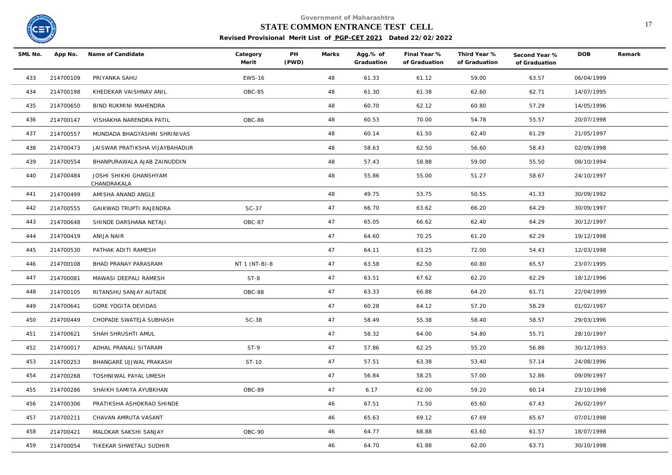

## **STATE COMMON ENTRANCE TEST CELL** 17

| SML No. |           | App No. Name of Candidate             | Category<br>Merit | PH<br>(PWD) | Marks | Agg.% of<br>Graduation | Final Year %<br>of Graduation | Third Year %<br>of Graduation | Second Year %<br>of Graduation | <b>DOB</b> | Remark |
|---------|-----------|---------------------------------------|-------------------|-------------|-------|------------------------|-------------------------------|-------------------------------|--------------------------------|------------|--------|
| 433     | 214700109 | PRIYANKA SAHU                         | <b>EWS-16</b>     |             | 48    | 61.33                  | 61.12                         | 59.00                         | 63.57                          | 06/04/1999 |        |
| 434     | 214700198 | KHEDEKAR VAISHNAV ANIL                | OBC-85            |             | 48    | 61.30                  | 61.38                         | 62.60                         | 62.71                          | 14/07/1995 |        |
| 435     | 214700650 | BIND RUKMINI MAHENDRA                 |                   |             | 48    | 60.70                  | 62.12                         | 60.80                         | 57.29                          | 14/05/1996 |        |
| 436     | 214700147 | VISHAKHA NARENDRA PATIL               | OBC-86            |             | 48    | 60.53                  | 70.00                         | 54.78                         | 55.57                          | 20/07/1998 |        |
| 437     | 214700557 | MUNDADA BHAGYASHRI SHRINIVAS          |                   |             | 48    | 60.14                  | 61.50                         | 62.40                         | 61.29                          | 21/05/1997 |        |
| 438     | 214700473 | JAISWAR PRATIKSHA VIJAYBAHADUR        |                   |             | 48    | 58.63                  | 62.50                         | 56.60                         | 58.43                          | 02/09/1998 |        |
| 439     | 214700554 | BHANPURAWALA AJAB ZAINUDDIN           |                   |             | 48    | 57.43                  | 58.88                         | 59.00                         | 55.50                          | 08/10/1994 |        |
| 440     | 214700484 | JOSHI SHIKHI GHANSHYAM<br>CHANDRAKALA |                   |             | 48    | 55.86                  | 55.00                         | 51.27                         | 58.67                          | 24/10/1997 |        |
| 441     | 214700499 | AMISHA ANAND ANGLE                    |                   |             | 48    | 49.75                  | 53.75                         | 50.55                         | 41.33                          | 30/09/1992 |        |
| 442     | 214700555 | GAIKWAD TRUPTI RAJENDRA               | $SC-37$           |             | 47    | 66.70                  | 63.62                         | 66.20                         | 64.29                          | 30/09/1997 |        |
| 443     | 214700648 | SHINDE DARSHANA NETAJI                | OBC-87            |             | 47    | 65.05                  | 66.62                         | 62.40                         | 64.29                          | 30/12/1997 |        |
| 444     | 214700419 | ANIJA NAIR                            |                   |             | 47    | 64.60                  | 70.25                         | 61.20                         | 62.29                          | 19/12/1998 |        |
| 445     | 214700530 | PATHAK ADITI RAMESH                   |                   |             | 47    | 64.11                  | 63.25                         | 72.00                         | 54.43                          | 12/03/1998 |        |
| 446     | 214700108 | BHAD PRANAY PARASRAM                  | NT 1 (NT-B)-8     |             | 47    | 63.58                  | 62.50                         | 60.80                         | 65.57                          | 23/07/1995 |        |
| 447     | 214700081 | MAWASI DEEPALI RAMESH                 | $ST-8$            |             | 47    | 63.51                  | 67.62                         | 62.20                         | 62.29                          | 18/12/1996 |        |
| 448     | 214700105 | RITANSHU SANJAY AUTADE                | OBC-88            |             | 47    | 63.33                  | 66.88                         | 64.20                         | 61.71                          | 22/04/1999 |        |
| 449     | 214700641 | GORE YOGITA DEVIDAS                   |                   |             | 47    | 60.28                  | 64.12                         | 57.20                         | 58.29                          | 01/02/1997 |        |
| 450     | 214700449 | CHOPADE SWATEJA SUBHASH               | $SC-38$           |             | 47    | 58.49                  | 55.38                         | 58.40                         | 58.57                          | 29/03/1996 |        |
| 451     | 214700621 | SHAH SHRUSHTI AMUL                    |                   |             | 47    | 58.32                  | 64.00                         | 54.80                         | 55.71                          | 28/10/1997 |        |
| 452     | 214700017 | ADHAL PRANALI SITARAM                 | $ST-9$            |             | 47    | 57.86                  | 62.25                         | 55.20                         | 56.86                          | 30/12/1993 |        |
| 453     | 214700253 | BHANGARE UJJWAL PRAKASH               | ST-10             |             | 47    | 57.51                  | 63.38                         | 53.40                         | 57.14                          | 24/08/1996 |        |
| 454     | 214700268 | TOSHNIWAL PAYAL UMESH                 |                   |             | 47    | 56.84                  | 58.25                         | 57.00                         | 52.86                          | 09/09/1997 |        |
| 455     | 214700286 | SHAIKH SAMIYA AYUBKHAN                | OBC-89            |             | 47    | 6.17                   | 62.00                         | 59.20                         | 60.14                          | 23/10/1998 |        |
| 456     | 214700306 | PRATIKSHA ASHOKRAO SHINDE             |                   |             | 46    | 67.51                  | 71.50                         | 65.60                         | 67.43                          | 26/02/1997 |        |
| 457     | 214700211 | CHAVAN AMRUTA VASANT                  |                   |             | 46    | 65.63                  | 69.12                         | 67.69                         | 65.67                          | 07/01/1998 |        |
| 458     | 214700421 | MALOKAR SAKSHI SANJAY                 | OBC-90            |             | 46    | 64.77                  | 68.88                         | 63.60                         | 61.57                          | 18/07/1998 |        |
| 459     | 214700054 | TIKEKAR SHWETALI SUDHIR               |                   |             | 46    | 64.70                  | 61.88                         | 62.00                         | 63.71                          | 30/10/1998 |        |
|         |           |                                       |                   |             |       |                        |                               |                               |                                |            |        |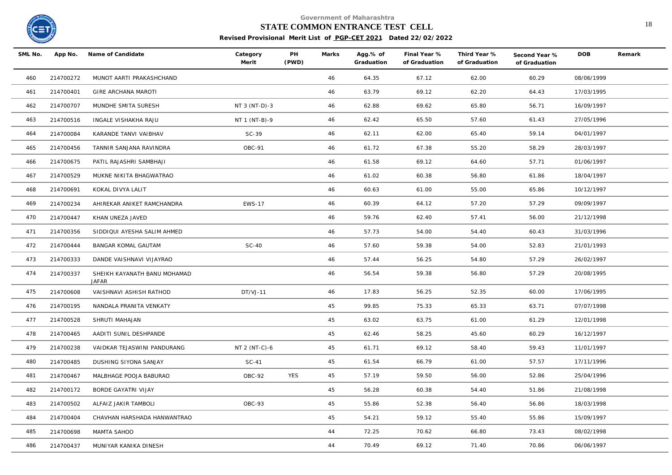

# **STATE COMMON ENTRANCE TEST CELL** 18

| SML No. | App No.   | Name of Candidate                     | Category<br>Merit | $\mathsf{PH}$<br>(PWD) | Marks | Agg.% of<br>Graduation | Final Year %<br>of Graduation | Third Year %<br>of Graduation | Second Year %<br>of Graduation | <b>DOB</b> | Remark |
|---------|-----------|---------------------------------------|-------------------|------------------------|-------|------------------------|-------------------------------|-------------------------------|--------------------------------|------------|--------|
| 460     | 214700272 | MUNOT AARTI PRAKASHCHAND              |                   |                        | 46    | 64.35                  | 67.12                         | 62.00                         | 60.29                          | 08/06/1999 |        |
| 461     | 214700401 | <b>GIRE ARCHANA MAROTI</b>            |                   |                        | 46    | 63.79                  | 69.12                         | 62.20                         | 64.43                          | 17/03/1995 |        |
| 462     | 214700707 | MUNDHE SMITA SURESH                   | NT 3 (NT-D)-3     |                        | 46    | 62.88                  | 69.62                         | 65.80                         | 56.71                          | 16/09/1997 |        |
| 463     | 214700516 | INGALE VISHAKHA RAJU                  | NT 1 (NT-B)-9     |                        | 46    | 62.42                  | 65.50                         | 57.60                         | 61.43                          | 27/05/1996 |        |
| 464     | 214700084 | KARANDE TANVI VAIBHAV                 | $SC-39$           |                        | 46    | 62.11                  | 62.00                         | 65.40                         | 59.14                          | 04/01/1997 |        |
| 465     | 214700456 | TANNIR SANJANA RAVINDRA               | OBC-91            |                        | 46    | 61.72                  | 67.38                         | 55.20                         | 58.29                          | 28/03/1997 |        |
| 466     | 214700675 | PATIL RAJASHRI SAMBHAJI               |                   |                        | 46    | 61.58                  | 69.12                         | 64.60                         | 57.71                          | 01/06/1997 |        |
| 467     | 214700529 | MUKNE NIKITA BHAGWATRAO               |                   |                        | 46    | 61.02                  | 60.38                         | 56.80                         | 61.86                          | 18/04/1997 |        |
| 468     | 214700691 | KOKAL DIVYA LALIT                     |                   |                        | 46    | 60.63                  | 61.00                         | 55.00                         | 65.86                          | 10/12/1997 |        |
| 469     | 214700234 | AHIREKAR ANIKET RAMCHANDRA            | <b>EWS-17</b>     |                        | 46    | 60.39                  | 64.12                         | 57.20                         | 57.29                          | 09/09/1997 |        |
| 470     | 214700447 | KHAN UNEZA JAVED                      |                   |                        | 46    | 59.76                  | 62.40                         | 57.41                         | 56.00                          | 21/12/1998 |        |
| 471     | 214700356 | SIDDIQUI AYESHA SALIM AHMED           |                   |                        | 46    | 57.73                  | 54.00                         | 54.40                         | 60.43                          | 31/03/1996 |        |
| 472     | 214700444 | BANGAR KOMAL GAUTAM                   | $SC-40$           |                        | 46    | 57.60                  | 59.38                         | 54.00                         | 52.83                          | 21/01/1993 |        |
| 473     | 214700333 | DANDE VAISHNAVI VIJAYRAO              |                   |                        | 46    | 57.44                  | 56.25                         | 54.80                         | 57.29                          | 26/02/1997 |        |
| 474     | 214700337 | SHEIKH KAYANATH BANU MOHAMAD<br>JAFAR |                   |                        | 46    | 56.54                  | 59.38                         | 56.80                         | 57.29                          | 20/08/1995 |        |
| 475     | 214700608 | VAISHNAVI ASHISH RATHOD               | $DT/VJ-11$        |                        | 46    | 17.83                  | 56.25                         | 52.35                         | 60.00                          | 17/06/1995 |        |
| 476     | 214700195 | NANDALA PRANITA VENKATY               |                   |                        | 45    | 99.85                  | 75.33                         | 65.33                         | 63.71                          | 07/07/1998 |        |
| 477     | 214700528 | SHRUTI MAHAJAN                        |                   |                        | 45    | 63.02                  | 63.75                         | 61.00                         | 61.29                          | 12/01/1998 |        |
| 478     | 214700465 | AADITI SUNIL DESHPANDE                |                   |                        | 45    | 62.46                  | 58.25                         | 45.60                         | 60.29                          | 16/12/1997 |        |
| 479     | 214700238 | VAIDKAR TEJASWINI PANDURANG           | NT 2 (NT-C)-6     |                        | 45    | 61.71                  | 69.12                         | 58.40                         | 59.43                          | 11/01/1997 |        |
| 480     | 214700485 | DUSHING SIYONA SANJAY                 | SC-41             |                        | 45    | 61.54                  | 66.79                         | 61.00                         | 57.57                          | 17/11/1996 |        |
| 481     | 214700467 | MALBHAGE POOJA BABURAO                | OBC-92            | YES                    | 45    | 57.19                  | 59.50                         | 56.00                         | 52.86                          | 25/04/1996 |        |
| 482     | 214700172 | BORDE GAYATRI VIJAY                   |                   |                        | 45    | 56.28                  | 60.38                         | 54.40                         | 51.86                          | 21/08/1998 |        |
| 483     | 214700502 | ALFAIZ JAKIR TAMBOLI                  | OBC-93            |                        | 45    | 55.86                  | 52.38                         | 56.40                         | 56.86                          | 18/03/1998 |        |
| 484     | 214700404 | CHAVHAN HARSHADA HANWANTRAO           |                   |                        | 45    | 54.21                  | 59.12                         | 55.40                         | 55.86                          | 15/09/1997 |        |
| 485     | 214700698 | MAMTA SAHOO                           |                   |                        | 44    | 72.25                  | 70.62                         | 66.80                         | 73.43                          | 08/02/1998 |        |
| 486     | 214700437 | MUNIYAR KANIKA DINESH                 |                   |                        | 44    | 70.49                  | 69.12                         | 71.40                         | 70.86                          | 06/06/1997 |        |
|         |           |                                       |                   |                        |       |                        |                               |                               |                                |            |        |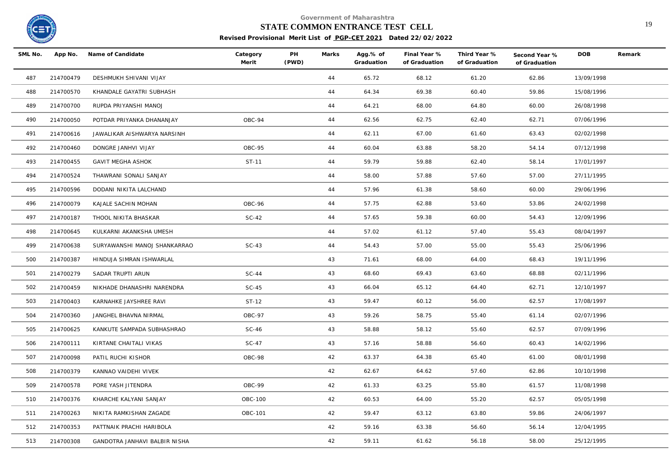

# **STATE COMMON ENTRANCE TEST CELL** 19

| SML No. |           | App No. Name of Candidate     | Category<br>Merit | PH<br>(PWD) | Marks | Agg.% of<br>Graduation | Final Year %<br>of Graduation | Third Year %<br>of Graduation | Second Year %<br>of Graduation | <b>DOB</b> | Remark |
|---------|-----------|-------------------------------|-------------------|-------------|-------|------------------------|-------------------------------|-------------------------------|--------------------------------|------------|--------|
| 487     | 214700479 | DESHMUKH SHIVANI VIJAY        |                   |             | 44    | 65.72                  | 68.12                         | 61.20                         | 62.86                          | 13/09/1998 |        |
| 488     | 214700570 | KHANDALE GAYATRI SUBHASH      |                   |             | 44    | 64.34                  | 69.38                         | 60.40                         | 59.86                          | 15/08/1996 |        |
| 489     | 214700700 | RUPDA PRIYANSHI MANOJ         |                   |             | 44    | 64.21                  | 68.00                         | 64.80                         | 60.00                          | 26/08/1998 |        |
| 490     | 214700050 | POTDAR PRIYANKA DHANANJAY     | OBC-94            |             | 44    | 62.56                  | 62.75                         | 62.40                         | 62.71                          | 07/06/1996 |        |
| 491     | 214700616 | JAWALIKAR AISHWARYA NARSINH   |                   |             | 44    | 62.11                  | 67.00                         | 61.60                         | 63.43                          | 02/02/1998 |        |
| 492     | 214700460 | DONGRE JANHVI VIJAY           | OBC-95            |             | 44    | 60.04                  | 63.88                         | 58.20                         | 54.14                          | 07/12/1998 |        |
| 493     | 214700455 | GAVIT MEGHA ASHOK             | ST-11             |             | 44    | 59.79                  | 59.88                         | 62.40                         | 58.14                          | 17/01/1997 |        |
| 494     | 214700524 | THAWRANI SONALI SANJAY        |                   |             | 44    | 58.00                  | 57.88                         | 57.60                         | 57.00                          | 27/11/1995 |        |
| 495     | 214700596 | DODANI NIKITA LALCHAND        |                   |             | 44    | 57.96                  | 61.38                         | 58.60                         | 60.00                          | 29/06/1996 |        |
| 496     | 214700079 | KAJALE SACHIN MOHAN           | OBC-96            |             | 44    | 57.75                  | 62.88                         | 53.60                         | 53.86                          | 24/02/1998 |        |
| 497     | 214700187 | THOOL NIKITA BHASKAR          | $SC-42$           |             | 44    | 57.65                  | 59.38                         | 60.00                         | 54.43                          | 12/09/1996 |        |
| 498     | 214700645 | KULKARNI AKANKSHA UMESH       |                   |             | 44    | 57.02                  | 61.12                         | 57.40                         | 55.43                          | 08/04/1997 |        |
| 499     | 214700638 | SURYAWANSHI MANOJ SHANKARRAO  | $SC-43$           |             | 44    | 54.43                  | 57.00                         | 55.00                         | 55.43                          | 25/06/1996 |        |
| 500     | 214700387 | HINDUJA SIMRAN ISHWARLAL      |                   |             | 43    | 71.61                  | 68.00                         | 64.00                         | 68.43                          | 19/11/1996 |        |
| 501     | 214700279 | SADAR TRUPTI ARUN             | $SC-44$           |             | 43    | 68.60                  | 69.43                         | 63.60                         | 68.88                          | 02/11/1996 |        |
| 502     | 214700459 | NIKHADE DHANASHRI NARENDRA    | $SC-45$           |             | 43    | 66.04                  | 65.12                         | 64.40                         | 62.71                          | 12/10/1997 |        |
| 503     | 214700403 | KARNAHKE JAYSHREE RAVI        | ST-12             |             | 43    | 59.47                  | 60.12                         | 56.00                         | 62.57                          | 17/08/1997 |        |
| 504     | 214700360 | JANGHEL BHAVNA NIRMAL         | OBC-97            |             | 43    | 59.26                  | 58.75                         | 55.40                         | 61.14                          | 02/07/1996 |        |
| 505     | 214700625 | KANKUTE SAMPADA SUBHASHRAO    | $SC-46$           |             | 43    | 58.88                  | 58.12                         | 55.60                         | 62.57                          | 07/09/1996 |        |
| 506     | 214700111 | KIRTANE CHAITALI VIKAS        | $SC-47$           |             | 43    | 57.16                  | 58.88                         | 56.60                         | 60.43                          | 14/02/1996 |        |
| 507     | 214700098 | PATIL RUCHI KISHOR            | OBC-98            |             | 42    | 63.37                  | 64.38                         | 65.40                         | 61.00                          | 08/01/1998 |        |
| 508     | 214700379 | KANNAO VAIDEHI VIVEK          |                   |             | 42    | 62.67                  | 64.62                         | 57.60                         | 62.86                          | 10/10/1998 |        |
| 509     | 214700578 | PORE YASH JITENDRA            | OBC-99            |             | 42    | 61.33                  | 63.25                         | 55.80                         | 61.57                          | 11/08/1998 |        |
| 510     | 214700376 | KHARCHE KALYANI SANJAY        | OBC-100           |             | 42    | 60.53                  | 64.00                         | 55.20                         | 62.57                          | 05/05/1998 |        |
| 511     | 214700263 | NIKITA RAMKISHAN ZAGADE       | OBC-101           |             | 42    | 59.47                  | 63.12                         | 63.80                         | 59.86                          | 24/06/1997 |        |
| 512     | 214700353 | PATTNAIK PRACHI HARIBOLA      |                   |             | 42    | 59.16                  | 63.38                         | 56.60                         | 56.14                          | 12/04/1995 |        |
| 513     | 214700308 | GANDOTRA JANHAVI BALBIR NISHA |                   |             | 42    | 59.11                  | 61.62                         | 56.18                         | 58.00                          | 25/12/1995 |        |
|         |           |                               |                   |             |       |                        |                               |                               |                                |            |        |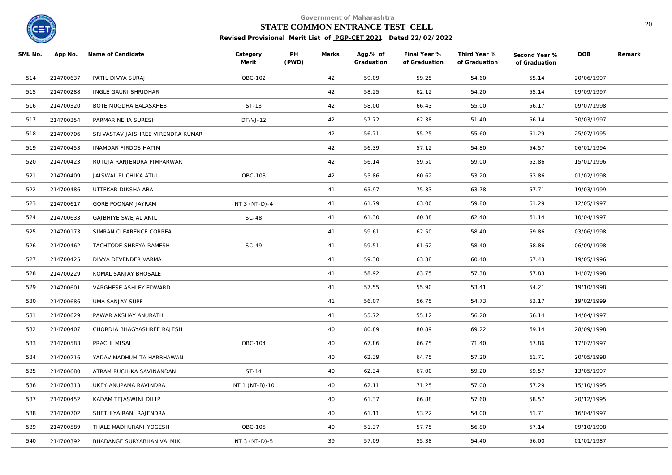

## **STATE COMMON ENTRANCE TEST CELL** 20

| SML No. | App No.   | Name of Candidate                 | Category<br>Merit | PH<br>(PWD) | Marks | Agg.% of<br>Graduation | Final Year %<br>of Graduation | Third Year %<br>of Graduation | Second Year %<br>of Graduation | <b>DOB</b> | Remark |
|---------|-----------|-----------------------------------|-------------------|-------------|-------|------------------------|-------------------------------|-------------------------------|--------------------------------|------------|--------|
| 514     | 214700637 | PATIL DIVYA SURAJ                 | OBC-102           |             | 42    | 59.09                  | 59.25                         | 54.60                         | 55.14                          | 20/06/1997 |        |
| 515     | 214700288 | INGLE GAURI SHRIDHAR              |                   |             | 42    | 58.25                  | 62.12                         | 54.20                         | 55.14                          | 09/09/1997 |        |
| 516     | 214700320 | BOTE MUGDHA BALASAHEB             | ST-13             |             | 42    | 58.00                  | 66.43                         | 55.00                         | 56.17                          | 09/07/1998 |        |
| 517     | 214700354 | PARMAR NEHA SURESH                | $DT/VJ-12$        |             | 42    | 57.72                  | 62.38                         | 51.40                         | 56.14                          | 30/03/1997 |        |
| 518     | 214700706 | SRIVASTAV JAISHREE VIRENDRA KUMAR |                   |             | 42    | 56.71                  | 55.25                         | 55.60                         | 61.29                          | 25/07/1995 |        |
| 519     | 214700453 | INAMDAR FIRDOS HATIM              |                   |             | 42    | 56.39                  | 57.12                         | 54.80                         | 54.57                          | 06/01/1994 |        |
| 520     | 214700423 | RUTUJA RANJENDRA PIMPARWAR        |                   |             | 42    | 56.14                  | 59.50                         | 59.00                         | 52.86                          | 15/01/1996 |        |
| 521     | 214700409 | JAISWAL RUCHIKA ATUL              | OBC-103           |             | 42    | 55.86                  | 60.62                         | 53.20                         | 53.86                          | 01/02/1998 |        |
| 522     | 214700486 | UTTEKAR DIKSHA ABA                |                   |             | 41    | 65.97                  | 75.33                         | 63.78                         | 57.71                          | 19/03/1999 |        |
| 523     | 214700617 | GORE POONAM JAYRAM                | NT 3 (NT-D)-4     |             | 41    | 61.79                  | 63.00                         | 59.80                         | 61.29                          | 12/05/1997 |        |
| 524     | 214700633 | <b>GAJBHIYE SWEJAL ANIL</b>       | <b>SC-48</b>      |             | 41    | 61.30                  | 60.38                         | 62.40                         | 61.14                          | 10/04/1997 |        |
| 525     | 214700173 | SIMRAN CLEARENCE CORREA           |                   |             | 41    | 59.61                  | 62.50                         | 58.40                         | 59.86                          | 03/06/1998 |        |
| 526     | 214700462 | TACHTODE SHREYA RAMESH            | $SC-49$           |             | 41    | 59.51                  | 61.62                         | 58.40                         | 58.86                          | 06/09/1998 |        |
| 527     | 214700425 | DIVYA DEVENDER VARMA              |                   |             | 41    | 59.30                  | 63.38                         | 60.40                         | 57.43                          | 19/05/1996 |        |
| 528     | 214700229 | KOMAL SANJAY BHOSALE              |                   |             | 41    | 58.92                  | 63.75                         | 57.38                         | 57.83                          | 14/07/1998 |        |
| 529     | 214700601 | VARGHESE ASHLEY EDWARD            |                   |             | 41    | 57.55                  | 55.90                         | 53.41                         | 54.21                          | 19/10/1998 |        |
| 530     | 214700686 | UMA SANJAY SUPE                   |                   |             | 41    | 56.07                  | 56.75                         | 54.73                         | 53.17                          | 19/02/1999 |        |
| 531     | 214700629 | PAWAR AKSHAY ANURATH              |                   |             | 41    | 55.72                  | 55.12                         | 56.20                         | 56.14                          | 14/04/1997 |        |
| 532     | 214700407 | CHORDIA BHAGYASHREE RAJESH        |                   |             | 40    | 80.89                  | 80.89                         | 69.22                         | 69.14                          | 28/09/1998 |        |
| 533     | 214700583 | PRACHI MISAL                      | OBC-104           |             | 40    | 67.86                  | 66.75                         | 71.40                         | 67.86                          | 17/07/1997 |        |
| 534     | 214700216 | YADAV MADHUMITA HARBHAWAN         |                   |             | 40    | 62.39                  | 64.75                         | 57.20                         | 61.71                          | 20/05/1998 |        |
| 535     | 214700680 | ATRAM RUCHIKA SAVINANDAN          | ST-14             |             | 40    | 62.34                  | 67.00                         | 59.20                         | 59.57                          | 13/05/1997 |        |
| 536     | 214700313 | UKEY ANUPAMA RAVINDRA             | NT 1 (NT-B)-10    |             | 40    | 62.11                  | 71.25                         | 57.00                         | 57.29                          | 15/10/1995 |        |
| 537     | 214700452 | KADAM TEJASWINI DILIP             |                   |             | 40    | 61.37                  | 66.88                         | 57.60                         | 58.57                          | 20/12/1995 |        |
| 538     | 214700702 | SHETHIYA RANI RAJENDRA            |                   |             | 40    | 61.11                  | 53.22                         | 54.00                         | 61.71                          | 16/04/1997 |        |
| 539     | 214700589 | THALE MADHURANI YOGESH            | OBC-105           |             | 40    | 51.37                  | 57.75                         | 56.80                         | 57.14                          | 09/10/1998 |        |
| 540     | 214700392 | BHADANGE SURYABHAN VALMIK         | NT 3 (NT-D)-5     |             | 39    | 57.09                  | 55.38                         | 54.40                         | 56.00                          | 01/01/1987 |        |
|         |           |                                   |                   |             |       |                        |                               |                               |                                |            |        |